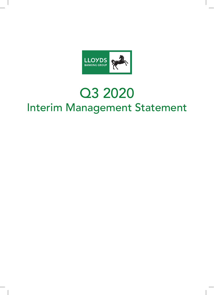

# Q3 2020 Interim Management Statement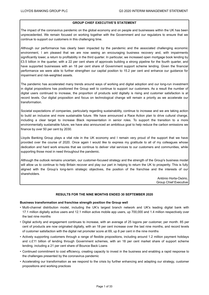#### **GROUP CHIEF EXECUTIVE'S STATEMENT**

The impact of the coronavirus pandemic on the global economy and on people and businesses within the UK has been unprecedented. We remain focused on working together with the Government and our regulators to ensure that we continue to support our customers in this challenging time.

Although our performance has clearly been impacted by the pandemic and the associated challenging economic environment, I am pleased that we are now seeing an encouraging business recovery and, with impairments significantly lower, a return to profitability in the third quarter. In particular, we increased open mortgage book lending by £3.5 billion in the quarter, with a 22 per cent share of approvals building a strong pipeline for the fourth quarter, and have supported businesses with an 18 per cent share of Government support scheme lending. Given the financial performance we were able to further strengthen our capital position to 15.2 per cent and enhance our guidance for impairment and risk-weighted assets.

The pandemic has accelerated many trends around ways of working and digital adoption and our long-run investment in digital propositions has positioned the Group well to continue to support our customers. As a result the number of digital users continued to increase, the proportion of products sold digitally is rising and customer satisfaction is at record levels. Our digital proposition and focus on technological change will remain a priority as we accelerate our transformation.

Societal expectations of companies, particularly regarding sustainability, continue to increase and we are taking action to build an inclusive and more sustainable future. We have announced a Race Action plan to drive cultural change, including a clear target to increase Black representation in senior roles. To support the transition to a more environmentally sustainable future, we have also announced an ambitious goal to help reduce the carbon emissions we finance by over 50 per cent by 2030.

Lloyds Banking Group plays a vital role in the UK economy and I remain very proud of the support that we have provided over the course of 2020. Once again I would like to express my gratitude to all of my colleagues whose dedication and hard work ensures that we continue to deliver vital services to our customers and communities, while supporting those most in need throughout the pandemic.

Although the outlook remains uncertain, our customer-focused strategy and the strength of the Group's business model will allow us to continue to help Britain recover and play our part in helping to return the UK to prosperity. This is fully aligned with the Group's long-term strategic objectives, the position of the franchise and the interests of our shareholders.

> António Horta-Osório, Group Chief Executive

## **RESULTS FOR THE NINE MONTHS ENDED 30 SEPTEMBER 2020**

#### **Business transformation and franchise strength position the Group well**

- Multi-channel distribution model, including the UK's largest branch network and UK's leading digital bank with 17.1 million digitally active users and 12.1 million active mobile app users, up 700,000 and 1.4 million respectively over the last nine months
- Digital activity and engagement continues to increase, with an average of 25 logons per customer, per month. 85 per cent of products are now originated digitally, with an 18 per cent increase over the last nine months, and record levels of customer satisfaction with the digital net promoter score at 69, up 8 per cent in the nine months
- Actively supporting customers through a range of flexible propositions, including around 1.2 million payment holidays and c.£11 billion of lending through Government schemes, with an 18 per cent market share of support scheme lending, including a 21 per cent share of Bounce Back Loans
- Continued commitment to cost efficiency, creating capacity to invest in the business and enabling a rapid response to the challenges presented by the coronavirus pandemic
- Accelerating our transformation as we respond to the crisis by further enhancing and adapting our strategy, customer propositions and working practices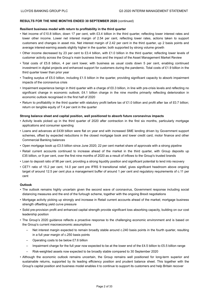# **RESULTS FOR THE NINE MONTHS ENDED 30 SEPTEMBER 2020** (continued)

#### **Resilient business model with return to profitability in the third quarter**

- Net income of £10.8 billion, down 17 per cent, with £3.4 billion in the third quarter, reflecting lower interest rates and lower other income. Lower net interest margin of 2.54 per cent, reflecting lower rates, actions taken to support customers and changes in asset mix. Net interest margin of 2.42 per cent in the third quarter, up 2 basis points and average interest-earning assets slightly higher in the quarter, both supported by strong volume growth
- Other income decreased by 23 per cent to £3.4 billion, with £1.0 billion in the third quarter, reflecting lower levels of customer activity across the Group's main business lines and the impact of the Asset Management Market Review
- Total costs of £5.8 billion, 4 per cent lower, with business as usual costs down 5 per cent, enabling continued investment in digital projects and enhanced support for customers during the pandemic. Total costs of  $£1.9$  billion in the third quarter lower than prior year
- Trading surplus of £5.0 billion, including £1.5 billion in the quarter, providing significant capacity to absorb impairment impacts of the coronavirus crisis
- Impairment experience benign in third quarter with a charge of £0.3 billion, in line with pre-crisis levels and reflecting no significant change in economic outlook; £4.1 billion charge in the nine months primarily reflecting deterioration in economic outlook recognised in the first half of 2020
- Return to profitability in the third quarter with statutory profit before tax of £1.0 billion and profit after tax of £0.7 billion; return on tangible equity of 7.4 per cent in the quarter

#### **Strong balance sheet and capital position, well positioned to absorb future coronavirus impacts**

- Activity levels picked up in the third quarter of 2020 after contraction in the first six months, particularly mortgage applications and consumer spending
- Loans and advances at £439 billion were flat on year end with increased SME lending driven by Government support schemes, offset by expected reductions in the closed mortgage book and lower credit card, motor finance and other Commercial Banking balances
- Open mortgage book up £3.5 billion since June 2020; 22 per cent market share of approvals with a strong pipeline
- Retail current accounts continued to increase ahead of the market in the third quarter, with Group deposits up £35 billion, or 9 per cent, over the first nine months of 2020 as a result of inflows to the Group's trusted brands
- Loan to deposit ratio of 98 per cent, providing a strong liquidity position and significant potential to lend into recovery
- CET1 ratio of 15.2 per cent, 14.0 per cent pre IFRS 9 transitional relief, gives significant headroom above ongoing target of around 12.5 per cent plus a management buffer of around 1 per cent and regulatory requirements of c.11 per cent

#### **Outlook**

- The outlook remains highly uncertain given the second wave of coronavirus, Government response including social distancing measures and the end of the furlough scheme, together with the ongoing Brexit negotiations
- Mortgage activity picking up strongly and increase in Retail current accounts ahead of the market; mortgage business strength offsetting yield curve pressure
- Solid pre-provision profit and enhanced capital strength provide significant loss absorbing capacity, building on our cost leadership position
- The Group's 2020 guidance reflects a proactive response to the challenging economic environment and is based on the Group's current macroeconomic assumptions
	- Net interest margin expected to remain broadly stable around c.240 basis points in the fourth quarter, resulting in a full year margin of c.250 basis points
	- Operating costs to be below £7.6 billion
	- Impairment charge for the full year now expected to be at the lower end of the £4.5 billion to £5.5 billion range
	- Risk-weighted assets now expected to be broadly stable compared to 30 September 2020
- Although the economic outlook remains uncertain, the Group remains well positioned for long-term superior and sustainable returns, supported by its leading efficiency position and prudent balance sheet. This together with the Group's capital position and business model enables it to continue to support its customers and help Britain recover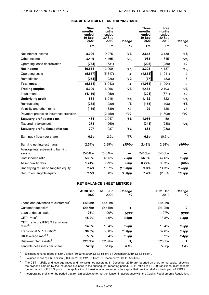# **INCOME STATEMENT − UNDERLYING BASIS**

|                                            | <b>Nine</b><br>months<br>ended<br>30 Sep | <b>Nine</b><br>months<br>ended<br>30 Sep |               | <b>Three</b><br>months<br>ended<br>30 Sep | <b>Three</b><br>months<br>ended<br>30 Sep |                |
|--------------------------------------------|------------------------------------------|------------------------------------------|---------------|-------------------------------------------|-------------------------------------------|----------------|
|                                            | 2020                                     | 2019                                     | <b>Change</b> | 2020                                      | 2019                                      | <b>Change</b>  |
|                                            | £m                                       | £m                                       | ℅             | £m                                        | £m                                        | %              |
| Net interest income                        | 8,096                                    | 9,275                                    | (13)          | 2,618                                     | 3,130                                     | (16)           |
| Other income                               | 3,449                                    | 4,465                                    | (23)          | 988                                       | 1,315                                     | (25)           |
| Operating lease depreciation               | (734)                                    | (731)                                    |               | (208)                                     | (258)                                     | 19             |
| <b>Net income</b>                          | 10,811                                   | 13,009                                   | (17)          | 3,398                                     | 4,187                                     | (19)           |
| Operating costs                            | (5, 557)                                 | (5, 817)                                 | 4             | (1, 858)                                  | (1, 911)                                  | 3              |
| Remediation                                | (254)                                    | (226)                                    | (12)          | (77)                                      | (83)                                      | $\overline{7}$ |
| <b>Total costs</b>                         | (5,811)                                  | (6,043)                                  | 4             | (1, 935)                                  | (1,994)                                   | 3              |
| <b>Trading surplus</b>                     | 5,000                                    | 6,966                                    | (28)          | 1,463                                     | 2,193                                     | (33)           |
| Impairment                                 | (4, 119)                                 | (950)                                    |               | (301)                                     | (371)                                     | 19             |
| <b>Underlying profit</b>                   | 881                                      | 6,016                                    | (85)          | 1,162                                     | 1,822                                     | (36)           |
| Restructuring                              | (288)                                    | (280)                                    | $(3)$         | (155)                                     | (98)                                      | (58)           |
| Volatility and other items                 | (159)                                    | (339)                                    | 53            | 29                                        | 126                                       | 77             |
| Payment protection insurance provision     |                                          | (2, 450)                                 | 100           |                                           | (1,800)                                   | 100            |
| <b>Statutory profit before tax</b>         | 434                                      | 2,947                                    | (85)          | 1,036                                     | 50                                        |                |
| Tax credit / (expense)                     | 273                                      | (960)                                    |               | (348)                                     | (288)                                     | (21)           |
| Statutory profit / (loss) after tax        | 707                                      | 1,987                                    | (64)          | 688                                       | (238)                                     |                |
| Earnings / (loss) per share                | 0.5p                                     | 2.2p                                     | (77)          | 0.8p                                      | (0.5)p                                    |                |
| Banking net interest margin                | 2.54%                                    | 2.89%                                    | (35)bp        | 2.42%                                     | 2.88%                                     | (46)bp         |
| Average interest-earning banking<br>assets | £434bn                                   | £434bn                                   |               | £436bn                                    | £435bn                                    |                |
| Cost:income ratio                          | 53.8%                                    | 46.5%                                    | 7.3pp         | 56.9%                                     | 47.6%                                     | 9.3pp          |
| Asset quality ratio                        | 1.24%                                    | 0.29%                                    | 95bp          | 0.27%                                     | 0.33%                                     | $(6)$ bp       |
| Underlying return on tangible equity       | 2.4%                                     | 15.7%                                    | $(13.3)$ pp   | 9.3%                                      | 14.3%                                     | $(5.0)$ pp     |
| Return on tangible equity                  | 2.5%                                     | 6.8%                                     | $(4.3)$ pp    | 7.4%                                      | (2.8)%                                    | 10.2pp         |

# **KEY BALANCE SHEET METRICS**

|                                              | At 30 Sep | At 30 Jun | Change     | At 31 Dec         | <b>Change</b>     |
|----------------------------------------------|-----------|-----------|------------|-------------------|-------------------|
|                                              | 2020      | 2020      | ℅          | 2019              | %                 |
| Loans and advances to customers <sup>1</sup> | £439bn    | £440bn    |            | £440bn            |                   |
| Customer deposits <sup>2</sup>               | £447bn    | £441 $bn$ | 1          | £412bn            | 9                 |
| Loan to deposit ratio                        | 98%       | 100%      | (2)pp      | 107%              | $(9)$ pp          |
| CET1 ratio $3,4$                             | 15.2%     | 14.6%     | $0.6$ pp   | 13.8%             | 1.4pp             |
| CET1 ratio pre IFRS 9 transitional           |           |           |            |                   |                   |
| relief $3,4$                                 | 14.0%     | 13.4%     | $0.6$ pp   | 13.4%             | $0.6$ pp          |
| Transitional MREL ratio <sup>3,4</sup>       | 36.5%     | 36.8%     | $(0.3)$ pp | 32.6%             | 3.9 <sub>pp</sub> |
| UK leverage ratio $3,4$                      | 5.6%      | 5.4%      | 0.2pp      | 5.2%              | $0.4$ pp          |
| Risk-weighted assets <sup>3</sup>            | £205bn    | £207bn    | (1)        | £203bn            | 1                 |
| Tangible net assets per share                | 52.2p     | 51.6p     | 0.6p       | 50.8 <sub>p</sub> | 1.4p              |

<sup>1</sup> Excludes reverse repos of £60.0 billion (30 June 2020: £61.1 billion; 31 December 2019: £54.6 billion).

<sup>2</sup> Excludes repos of £12.1 billion (30 June 2020: £12.3 billion; 31 December 2019: £9.5 billion).

<sup>3</sup> The CET1, MREL and leverage ratios and risk-weighted assets at 31 December 2019 are reported on a pro forma basis, reflecting the dividend paid up by the Insurance business in the subsequent reporting period. CET1 ratio pre IFRS 9 transitional relief reflects the full impact of IFRS 9, prior to the application of transitional arrangements for capital that provide relief for the impact of IFRS 9.

4 Incorporating profits for the period that remain subject to formal verification in accordance with the Capital Requirements Regulation.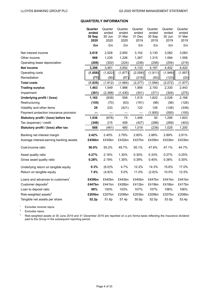# **QUARTERLY INFORMATION**

|                                              | Quarter<br>ended<br>30 Sep<br>2020 | Quarter<br>ended<br>30 Jun<br>2020 | Quarter<br>ended<br>31 Mar<br>2020 | Quarter<br>ended<br>31 Dec<br>2019 | Quarter<br>ended<br>30 Sep<br>2019 | Quarter<br>ended<br>30 Jun<br>2019 | Quarter<br>ended<br>31 Mar<br>2019 |
|----------------------------------------------|------------------------------------|------------------------------------|------------------------------------|------------------------------------|------------------------------------|------------------------------------|------------------------------------|
|                                              | £m                                 | £m                                 | £m                                 | £m                                 | £m                                 | £m                                 | £m                                 |
| Net interest income                          | 2,618                              | 2,528                              | 2,950                              | 3,102                              | 3,130                              | 3,062                              | 3,083                              |
| Other income                                 | 988                                | 1,235                              | 1,226                              | 1,267                              | 1,315                              | 1,594                              | 1,556                              |
| Operating lease depreciation                 | (208)                              | (302)                              | (224)                              | (236)                              | (258)                              | (254)                              | (219)                              |
| Net income                                   | 3,398                              | 3,461                              | 3,952                              | 4,133                              | 4,187                              | 4,402                              | 4,420                              |
| Operating costs                              | (1, 858)                           | (1,822)                            | (1, 877)                           | (2,058)                            | (1, 911)                           | (1,949)                            | (1, 957)                           |
| Remediation                                  | (77)                               | (90)                               | (87)                               | (219)                              | (83)                               | (123)                              | (20)                               |
| <b>Total costs</b>                           | (1, 935)                           | (1, 912)                           | (1,964)                            | (2, 277)                           | (1,994)                            | (2,072)                            | (1, 977)                           |
| <b>Trading surplus</b>                       | 1,463                              | 1,549                              | 1,988                              | 1,856                              | 2,193                              | 2,330                              | 2,443                              |
| Impairment                                   | (301)                              | (2,388)                            | (1, 430)                           | (341)                              | (371)                              | (304)                              | (275)                              |
| Underlying profit / (loss)                   | 1,162                              | (839)                              | 558                                | 1,515                              | 1,822                              | 2,026                              | 2,168                              |
| Restructuring                                | (155)                              | (70)                               | (63)                               | (191)                              | (98)                               | (56)                               | (126)                              |
| Volatility and other items                   | 29                                 | 233                                | (421)                              | 122                                | 126                                | (126)                              | (339)                              |
| Payment protection insurance provision       |                                    |                                    |                                    |                                    | (1,800)                            | (550)                              | (100)                              |
| Statutory profit / (loss) before tax         | 1,036                              | (676)                              | 74                                 | 1,446                              | 50                                 | 1,294                              | 1,603                              |
| Tax (expense) / credit                       | (348)                              | 215                                | 406                                | (427)                              | (288)                              | (269)                              | (403)                              |
| Statutory profit / (loss) after tax          | 688                                | (461)                              | 480                                | 1,019                              | (238)                              | 1,025                              | 1,200                              |
| Banking net interest margin                  | 2.42%                              | 2.40%                              | 2.79%                              | 2.85%                              | 2.88%                              | 2.89%                              | 2.91%                              |
| Average interest-earning banking assets      | £436bn                             | £435bn                             | £432bn                             | £437bn                             | £435bn                             | £433bn                             | £433bn                             |
| Cost:income ratio                            | 56.9%                              | 55.2%                              | 49.7%                              | 55.1%                              | 47.6%                              | 47.1%                              | 44.7%                              |
| Asset quality ratio                          | 0.27%                              | 2.16%                              | 1.30%                              | 0.30%                              | 0.33%                              | 0.27%                              | 0.25%                              |
| Gross asset quality ratio                    | 0.28%                              | 2.19%                              | 1.35%                              | 0.39%                              | 0.40%                              | 0.38%                              | 0.30%                              |
| Underlying return on tangible equity         | 9.3%                               | (6.0)%                             | 4.7%                               | 12.2%                              | 14.3%                              | 15.6%                              | 17.0%                              |
| Return on tangible equity                    | 7.4%                               | (4.8)%                             | 5.0%                               | 11.0%                              | (2.8)%                             | 10.5%                              | 12.5%                              |
| Loans and advances to customers <sup>1</sup> | £439bn                             | £440bn                             | £443bn                             | £440bn                             | £447bn                             | £441bn                             | £441bn                             |
| Customer deposits <sup>2</sup>               | £447bn                             | £441bn                             | £428bn                             | £412bn                             | £419bn                             | £418bn                             | £417bn                             |
| Loan to deposit ratio                        | 98%                                | 100%                               | 103%                               | 107%                               | 107%                               | 106%                               | 106%                               |
| Risk-weighted assets <sup>3</sup>            | £205bn                             | £207bn                             | £209bn                             | £203bn                             | £209bn                             | £207bn                             | £208bn                             |
| Tangible net assets per share                | 52.2p                              | 51.6p                              | 57.4p                              | 50.8p                              | 52.0p                              | 53.0p                              | 53.4p                              |

<sup>1</sup> Excludes reverse repos.

<sup>2</sup> Excludes repos.

<sup>3</sup> Risk-weighted assets at 30 June 2019 and 31 December 2019 are reported on a pro forma basis reflecting the Insurance dividend paid to the Group in the subsequent reporting period.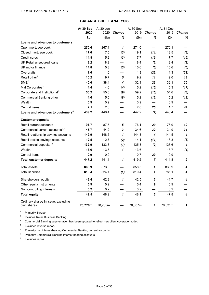# **BALANCE SHEET ANALYSIS**

|                                                   | At 30 Sep | At 30 Jun |                            | At 30 Sep |                | At 31 Dec |                  |
|---------------------------------------------------|-----------|-----------|----------------------------|-----------|----------------|-----------|------------------|
|                                                   | 2020      | 2020      | Change                     | 2019      | <b>Change</b>  | 2019      | Change           |
|                                                   | £bn       | £bn       | ℅                          | £bn       | ℅              | £bn       | %                |
| <b>Loans and advances to customers</b>            |           |           |                            |           |                |           |                  |
| Open mortgage book                                | 270.6     | 267.1     | 1                          | 271.0     |                | 270.1     |                  |
| Closed mortgage book                              | 17.0      | 17.5      | (3)                        | 19.1      | (11)           | 18.5      | (8)              |
| Credit cards                                      | 14.8      | 15.2      | (3)                        | 17.7      | (16)           | 17.7      | (16)             |
| UK Retail unsecured loans                         | 8.2       | 8.2       |                            | 8.4       | (2)            | 8.4       | (2)              |
| UK motor finance                                  | 14.8      | 15.3      | $(3)$                      | 15.6      | (5)            | 15.6      | (5)              |
| Overdrafts                                        | 1.0       | 1.0       |                            | 1.3       | (23)           | 1.3       | (23)             |
| Retail other <sup>1</sup>                         | 10.2      | 9.7       | 5                          | 9.2       | 11             | 9.0       | 13               |
| SME <sup>2</sup>                                  | 40.0      | 38.4      | 4                          | 32.4      | 23             | 32.1      | 25               |
| Mid Corporates <sup>3</sup>                       | 4.4       | 4.6       | (4)                        | 5.2       | (15)           | 5.3       | (17)             |
| Corporate and Institutional <sup>3</sup>          | 50.2      | 55.0      | (9)                        | 59.2      | (15)           | 54.6      | (8)              |
| Commercial Banking other                          | 4.6       | 5.0       | (8)                        | 5.2       | (12)           | 5.2       | (12)             |
| Wealth                                            | 0.9       | 0.9       |                            | 0.9       |                | 0.9       |                  |
| Central items                                     | 2.5       | 2.5       |                            | 2.0       | 25             | 1.7       | 47               |
| Loans and advances to customers <sup>4</sup>      | 439.2     | 440.4     |                            | 447.2     | (2)            | 440.4     |                  |
| <b>Customer deposits</b>                          |           |           |                            |           |                |           |                  |
| Retail current accounts                           | 91.7      | 87.5      | 5                          | 76.1      | 20             | 76.9      | 19               |
| Commercial current accounts <sup>2,5</sup>        | 45.7      | 44.2      | $\mathbf{3}$               | 34.6      | 32             | 34.9      | 31               |
| Retail relationship savings accounts              | 149.9     | 148.5     | 1                          | 144.3     | 4              | 144.5     | 4                |
| Retail tactical savings accounts                  | 12.5      | 12.7      | (2)                        | 14.1      | (11)           | 13.3      | (6)              |
| Commercial deposits <sup>2,6</sup>                | 132.9     | 133.8     | (1)                        | 135.8     | (2)            | 127.6     | 4                |
| Wealth                                            | 13.6      | 13.5      | $\mathbf{1}$               | 13.6      |                | 13.7      | (1)              |
| Central items                                     | 0.9       | 0.9       |                            | 0.7       | 29             | 0.9       |                  |
| Total customer deposits <sup>7</sup>              | 447.2     | 441.1     | $\mathbf{1}$               | 419.2     | $\overline{7}$ | 411.8     | 9                |
| Total assets                                      | 868.9     | 873.0     |                            | 858.5     | 1              | 833.9     | 4                |
| <b>Total liabilities</b>                          | 819.4     | 824.1     | (1)                        | 810.4     | 1              | 786.1     | 4                |
| Shareholders' equity                              | 43.4      | 42.8      | 1                          | 42.5      | 2              | 41.7      | 4                |
| Other equity instruments                          | 5.9       | 5.9       |                            | 5.4       | 9              | 5.9       |                  |
| Non-controlling interests                         | 0.2       | $0.2\,$   |                            | $0.2\,$   |                | $0.2\,$   |                  |
| <b>Total equity</b>                               | 49.5      | 48.9      | $\boldsymbol{\mathcal{L}}$ | 48.1      | $\mathbf{3}$   | 47.8      | $\boldsymbol{4}$ |
| Ordinary shares in issue, excluding<br>own shares | 70,776m   | 70,735m   |                            | 70,007m   | 1              | 70,031m   | 1                |

<sup>1</sup> Primarily Europe.

<sup>2</sup> Includes Retail Business Banking.

3 Commercial Banking segmentation has been updated to reflect new client coverage model.

<sup>4</sup> Excludes reverse repos.

<sup>5</sup> Primarily non interest-bearing Commercial Banking current accounts.

<sup>6</sup> Primarily Commercial Banking interest-bearing accounts.

 $7$  Excludes repos.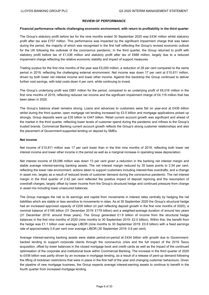## **REVIEW OF PERFORMANCE**

#### **Financial performance reflects challenging economic environment, with return to profitability in the third quarter**

The Group's statutory profit before tax for the nine months ended 30 September 2020 was £434 million whilst statutory profit after tax was £707 million. This performance was impacted by the significant impairment charge that was taken during the period, the majority of which was recognised in the first half reflecting the Group's revised economic outlook for the UK following the outbreak of the coronavirus pandemic. In the third quarter, the Group returned to profit with statutory profit before tax of £1,036 million and statutory profit after tax of £688 million, largely due to a reduced impairment charge reflecting the relative economic stability and impact of support measures.

Trading surplus for the first nine months of the year was £5,000 million, a reduction of 28 per cent compared to the same period in 2019, reflecting the challenging external environment. Net income was down 17 per cent at £10,811 million, driven by both lower net interest income and lower other income. Against this backdrop the Group continued to deliver further cost savings, with total costs down 4 per cent, while continuing to invest.

The Group's underlying profit was £881 million for the period, compared to an underlying profit of £6,016 million in the first nine months of 2019, reflecting reduced net income and the significant impairment charge of £4,119 million that has been taken in 2020.

The Group's balance sheet remains strong. Loans and advances to customers were flat on year-end at £439 billion whilst during the third quarter, open mortgage net lending increased by £3.5 billion and mortgage applications picked up strongly. Group deposits were up £35 billion to £447 billion. Retail current account growth was significant and ahead of the market in the third quarter, reflecting lower levels of customer spend during the pandemic and inflows to the Group's trusted brands. Commercial Banking current account growth reflects the Group's strong customer relationships and also the placement of Government-supported lending on deposit by SMEs.

#### **Net income**

Net income of £10,811 million was 17 per cent lower than in the first nine months of 2019, reflecting both lower net interest income and lower other income in the period as well as a marginal increase in operating lease depreciation.

Net interest income of £8,096 million was down 13 per cent given a reduction in the banking net interest margin and stable average interest-earning banking assets. The net interest margin reduced by 35 basis points to 2.54 per cent, reflecting the lower rate environment, actions taken to support customers including interest-free overdrafts, and a change in asset mix, largely as a result of reduced levels of customer demand during the coronavirus pandemic. The net interest margin in the third quarter of 2.42 per cent reflected the positive impact of deposit repricing and the resumption of overdraft charges, largely offset by lower income from the Group's structural hedge and continued pressure from change in asset mix including lower unsecured balances.

The Group manages the risk to its earnings and capital from movements in interest rates centrally by hedging the net liabilities which are stable or less sensitive to movements in rates. As at 30 September 2020 the Group's structural hedge had an increased approved capacity of £200 billion (in part reflecting deposit growth in the first nine months of 2020), a nominal balance of £185 billion (31 December 2019: £179 billion) and a weighted-average duration of around two years (31 December 2019: around three years). The Group generated £1.9 billion of income from the structural hedge balances in the first nine months of 2020 (nine months to 30 September 2019: £2.0 billion). Within this, the benefit from the hedge was £1.1 billion over average LIBOR (nine months to 30 September 2019: £0.8 billion) with a fixed earnings rate of approximately 0.8 per cent over average LIBOR (30 September 2019: 0.6 per cent).

Average interest-earning banking assets were stable period-on-period at £434 billion with growth due to Governmentbacked lending to support corporate clients through the coronavirus crisis and the full impact of the 2019 Tesco acquisition, offset by lower balances in the closed mortgage book and credit cards as well as the impact of the continued optimisation of the corporate and institutional book within Commercial Banking. The increase in the third quarter of 2020 to £436 billion was partly driven by an increase in mortgage lending, as a result of a release of pent-up demand following the lifting of lockdown restrictions that were in place in the first half of the year and changing customer behaviours. Given the pipeline of new mortgage business, the Group expects average interest-earning assets to continue to benefit in the fourth quarter from increased mortgage lending.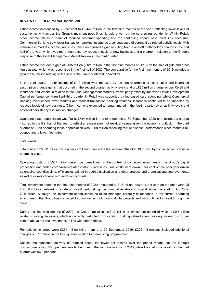Other income decreased by 23 per cent to £3,449 million in the first nine months of the year, reflecting lower levels of customer activity across the Group's main business lines, largely driven by the coronavirus pandemic. Within Retail, other income fell as a result of reduced customer spending and the continuing impact of a lower Lex fleet size. Commercial Banking saw lower transaction banking income as a consequence of coronavirus-related activity levels, with resilience in markets income, whilst Insurance recognised a gain resulting from a one-off methodology change in the first half of the year, which was more than offset by reduced levels of new business and a charge in relation to the Group's response to the Asset Management Market Review in the third quarter.

Other income includes a gain of £135 million (£181 million in the first nine months of 2019) on the sale of gilts and other liquid assets, which was recognised in the first half of 2020. The comparative for the first nine months of 2019 included a gain of £50 million relating to the sale of the Group's interest in Vocalink.

In the third quarter, other income of £1.0 billion was impacted by the non-recurrence of asset sales and insurance assumption change gains that occurred in the second quarter, activity levels and a c.£80 million charge across Retail and Insurance and Wealth in relation to the Asset Management Market Review, partly offset by improved Lloyds Development Capital performance. A resilient third quarter in Retail was supported by increased card spending, whilst Commercial Banking experienced lower markets and modest transaction banking volumes. Insurance continued to be impacted by reduced levels of new business. Other income is expected to remain muted in the fourth quarter given activity levels and potential persistency assumption changes.

Operating lease depreciation was flat at £734 million in the nine months to 30 September 2020 and included a charge incurred in the first half of the year to reflect a reassessment of residual values, given the economic outlook. In the third quarter of 2020 operating lease depreciation was £208 million reflecting robust disposal performance since markets reopened and a lower fleet size.

#### **Total costs**

Total costs of £5,811 million were 4 per cent lower than in the first nine months of 2019, driven by continued reductions in operating costs.

Operating costs of £5,557 million were 4 per cent lower, in the context of continued investment in the Group's digital proposition and added coronavirus-related costs. Business as usual costs were down 5 per cent on the prior year driven by ongoing cost discipline, efficiencies gained through digitalisation and other process and organisational improvements, as well as lower variable remuneration accruals.

Total investment spend in the first nine months of 2020 amounted to £1.6 billion, down 16 per cent on the prior year. Of this £0.7 billion related to strategic investment, taking the cumulative strategic spend since the start of GSR3 to £2.6 billion. Although the investment spend continues to be managed carefully in response to the current operating environment, the Group has continued to prioritise technology and digital projects and will continue to invest through the cycle.

During the first nine months of 2020 the Group capitalised c.£1.0 billion of investment spend of which c.£0.7 billion related to intangible assets, which is currently deducted from capital. Total capitalised spend was equivalent to c.60 per cent of above the line investment, in line with prior periods.

Remediation charges were £254 million (nine months to 30 September 2019: £226 million) and included additional charges of £77 million in the third quarter relating to pre-existing programmes.

Despite the continued delivery of reduced costs, the lower net income over the period meant that the Group's cost:income ratio of 53.8 per cent was higher than in the first nine months of 2019, while the cost:income ratio in the third quarter was 56.9 per cent.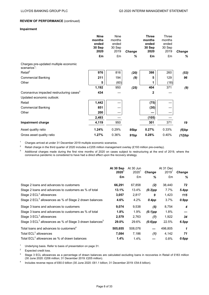# **Impairment**

|                                                                   | <b>Nine</b><br>months<br>ended<br>30 Sep<br>2020 | <b>Nine</b><br>months<br>ended<br>30 Sep<br>2019 | Change | <b>Three</b><br>months<br>ended<br>30 Sep<br>2020 | <b>Three</b><br>months<br>ended<br>30 Sep<br>2019 | Change |
|-------------------------------------------------------------------|--------------------------------------------------|--------------------------------------------------|--------|---------------------------------------------------|---------------------------------------------------|--------|
|                                                                   | £m                                               | £m                                               | %      | £m                                                | £m                                                | ℅      |
| Charges pre-updated multiple economic<br>scenarios <sup>1</sup> : |                                                  |                                                  |        |                                                   |                                                   |        |
| Retail <sup>2</sup>                                               | 976                                              | 816                                              | (20)   | 398                                               | 260                                               | (53)   |
| <b>Commercial Banking</b>                                         | 211                                              | 194                                              | (9)    | 5                                                 | 129                                               | 96     |
| Other                                                             | 5                                                | (60)                                             |        | 1                                                 | (18)                                              |        |
|                                                                   | 1,192                                            | 950                                              | (25)   | 404                                               | 371                                               | (9)    |
| Coronavirus impacted restructuring cases <sup>3</sup>             | 434                                              |                                                  |        | $\mathbf{2}$                                      |                                                   |        |
| Updated economic outlook:                                         |                                                  |                                                  |        |                                                   |                                                   |        |
| Retail                                                            | 1,442                                            |                                                  |        | (75)                                              |                                                   |        |
| <b>Commercial Banking</b>                                         | 851                                              |                                                  |        | (30)                                              |                                                   |        |
| Other                                                             | 200                                              |                                                  |        |                                                   |                                                   |        |
|                                                                   | 2,493                                            |                                                  |        | (105)                                             |                                                   |        |
| <b>Impairment charge</b>                                          | 4,119                                            | 950                                              |        | 301                                               | 371                                               | 19     |
| Asset quality ratio                                               | 1.24%                                            | 0.29%                                            | 95bp   | 0.27%                                             | 0.33%                                             | (6)bp  |
| Gross asset quality ratio                                         | 1.27%                                            | 0.36%                                            | 91bp   | 0.28%                                             | 0.40%                                             | (12)bp |

<sup>1</sup> Charges arrived at under 31 December 2019 multiple economic scenarios.

<sup>2</sup> Retail charge in the third quarter of 2020 includes a £205 million management overlay (£193 million pre-overlay).

<sup>3</sup> Additional charges made during the first nine months of 2020 on cases subject to restructuring at the end of 2019, where the coronavirus pandemic is considered to have had a direct effect upon the recovery strategy.

|                                                                                 | At 30 Sep<br>2020 <sup>1</sup><br>£m | At 30 Jun<br>2020 <sup>1</sup><br>£m | <b>Change</b><br>% | At 31 Dec<br>2019 <sup>1</sup><br>£m | <b>Change</b><br>% |
|---------------------------------------------------------------------------------|--------------------------------------|--------------------------------------|--------------------|--------------------------------------|--------------------|
| Stage 2 loans and advances to customers                                         | 66,291                               | 67,858                               | (2)                | 38,440                               | 72                 |
| Stage 2 loans and advances to customers as % of total                           | 13.1%                                | 13.4%                                | $(0.3)$ pp         | 7.7%                                 | 5.4pp              |
| Stage $2$ ECL <sup>2</sup> allowances                                           | 3,057                                | 2,817                                | 9                  | 1,423                                | 115                |
| Stage 2 ECL <sup>2</sup> allowances as % of Stage 2 drawn balances              | 4.6%                                 | 4.2%                                 | $0.4$ pp           | 3.7%                                 | $0.9$ pp           |
| Stage 3 loans and advances to customers                                         | 9,074                                | 9,538                                | (5)                | 8,754                                | 4                  |
| Stage 3 loans and advances to customers as % of total                           | 1.8%                                 | 1.9%                                 | $(0.1)$ pp         | 1.8%                                 |                    |
| Stage $3$ ECL <sup>2</sup> allowances                                           | 2,579                                | 2,763                                | (7)                | 1,922                                | 34                 |
| Stage 3 ECL <sup>2</sup> allowances as % of Stage 3 drawn balances <sup>3</sup> | 29.0%                                | 29.6%                                | $(0.6)$ pp         | 22.5%                                | 6.5pp              |
| Total loans and advances to customers <sup>4</sup>                              | 505,655                              | 508,076                              |                    | 498,805                              | 1                  |
| Total ECL <sup>2</sup> allowances                                               | 7.084                                | 7,186                                | (1)                | 4,142                                | 71                 |
| Total ECL <sup>2</sup> allowances as % of drawn balances                        | 1.4%                                 | 1.4%                                 |                    | 0.8%                                 | $0.6$ pp           |

<sup>1</sup> Underlying basis. Refer to basis of presentation on page 31.

<sup>2</sup> Expected credit loss.

<sup>3</sup> Stage 3 ECL allowances as a percentage of drawn balances are calculated excluding loans in recoveries in Retail of £183 million (30 June 2020: £206 million; 31 December 2019: £205 million).

4 Includes reverse repos of £60.0 billion (30 June 2020: £61.1 billion; 31 December 2019: £54.6 billion).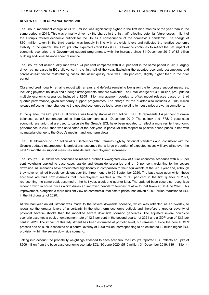The Group impairment charge of £4,119 million was significantly higher in the first nine months of the year than in the same period in 2019. This was primarily driven by the charge in the first half reflecting potential future losses in light of the Group's revised economic outlook for the UK as a consequence of the coronavirus pandemic. The charge of £301 million taken in the third quarter was broadly in line with pre-crisis levels and reflected the relative economic stability in the quarter. The Group's total expected credit loss (ECL) allowance continues to reflect the net impact of economic scenarios and Government support programmes, with the increase since 31 December 2019 of £3 billion building additional balance sheet resilience.

The Group's net asset quality ratio was 1.24 per cent compared with 0.29 per cent in the same period in 2019, largely driven by increases in ECL allowance in the first half of the year. Excluding the updated economic assumptions and coronavirus-impacted restructuring cases, the asset quality ratio was 0.36 per cent, slightly higher than in the prior period.

Observed credit quality remains robust with arrears and defaults remaining low given the temporary support measures, including payment holidays and furlough arrangements, that are available. The Retail charge of £398 million, pre-updated multiple economic scenarios, included a £205 million management overlay to offset model releases based on third quarter performance, given temporary support programmes. The charge for the quarter also includes a £105 million release reflecting minor changes to the updated economic outlook, largely relating to house price growth assumptions.

In the quarter, the Group's ECL allowance was broadly stable at £7.1 billion. The ECL represents 1.4 per cent of drawn balances, up 0.6 percentage points from 0.8 per cent at 31 December 2019. The outlook and IFRS 9 base case economic scenario that are used to calculate the Group's ECL have been updated to reflect a more resilient economic performance in 2020 than was anticipated at the half-year, in particular with respect to positive house prices, albeit with no material change to the Group's medium and long-term views.

The ECL allowance of £7.1 billion at 30 September 2020 remains high by historical standards and, consistent with the Group's updated macroeconomic projections, assumes that a large proportion of expected losses will crystallise over the next 12 months as support measures subside and unemployment increases.

The Group's ECL allowance continues to reflect a probability-weighted view of future economic scenarios with a 30 per cent weighting applied to base case, upside and downside scenarios and a 10 per cent weighting to the severe downside. All scenarios have deteriorated significantly in comparison to their equivalents at the 2019 year end, although they have remained broadly consistent over the three months to 30 September 2020. The base case upon which these scenarios are built now assumes that unemployment reaches a rate of 9.0 per cent in the first quarter of 2021, representing the same peak assumed at the half year, albeit one quarter later. The updated base case also recognises recent growth in house prices which drives an improved near-term forecast relative to that taken at 30 June 2020. This improvement, alongside a more resilient view on commercial real estate prices, has driven a £0.1 billion reduction to ECL in the third quarter of 2020.

At the half-year an adjustment was made to the severe downside scenario, which was reflected as an overlay, to recognise the greater levels of uncertainty in the short-term economic outlook and therefore a greater severity of potential adverse shocks than the modelled severe downside scenario generates. The adjusted severe downside scenario assumes a peak unemployment rate of 12.5 per cent in the second quarter of 2021 and a GDP drop of 13.3 per cent in 2020. The impact of this adjustment has been estimated at portfolio level, but remains outside the core IFRS 9 process and as such is reflected as a central overlay of £200 million, corresponding to an estimated £2 billion higher ECL provision within the severe downside scenario.

Taking into account the probability weightings attached to each scenario, the Group's reported ECL reflects an uplift of £509 million from the base case economic scenario ECL (30 June 2020: £510 million; 31 December 2019: £191 million).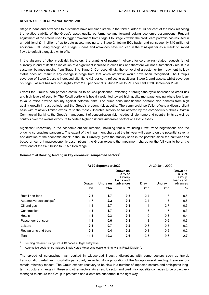Stage 2 loans and advances to customers have remained stable in the third quarter at 13 per cent of the book reflecting the relative stability of the Group's asset quality performance and forward-looking economic assumptions. Prudent adjustment of the criteria used to trigger movement from Stage 1 to Stage 2 within the credit card portfolio has resulted in an additional £1.4 billion of up-to-date assets moving to a Stage 2 lifetime ECL basis, and consequently £40 million of additional ECL being recognised. Stage 3 loans and advances have reduced in the third quarter as a result of limited flows to default alongside write-offs.

In the absence of other credit risk indicators, the granting of payment holidays for coronavirus-related requests is not currently in and of itself an indication of a significant increase in credit risk and therefore will not automatically result in a customer balance moving from Stage 1 to Stage 2. Correspondingly, the removal of a customer from payment holiday status does not result in any change in stage from that which otherwise would have been recognised. The Group's coverage of Stage 2 assets increased slightly to 4.6 per cent, reflecting additional Stage 2 card assets, whilst coverage of Stage 3 assets has reduced slightly from 29.6 per cent at 30 June 2020 to 29.0 per cent at 30 September 2020.

Overall the Group's loan portfolio continues to be well-positioned, reflecting a through-the-cycle approach to credit risk and high levels of security. The Retail portfolio is heavily weighted toward high quality mortgage lending where low loanto-value ratios provide security against potential risks. The prime consumer finance portfolio also benefits from high quality growth in past periods and the Group's prudent risk appetite. The commercial portfolio reflects a diverse client base with relatively limited exposure to the most vulnerable sectors so far affected by the coronavirus outbreak. Within Commercial Banking, the Group's management of concentration risk includes single name and country limits as well as controls over the overall exposure to certain higher risk and vulnerable sectors or asset classes.

Significant uncertainty in the economic outlook remains, including that surrounding Brexit trade negotiations and the ongoing coronavirus pandemic. The extent of the impairment charge at the full year will depend on the potential severity and duration of the economic shock in the UK. Currently, given the stability seen in the portfolio since the half-year and based on current macroeconomic assumptions, the Group expects the impairment charge for the full year to be at the lower end of the £4.5 billion to £5.5 billion range.

| Commercial Banking lending in key coronavirus-impacted sectors $^{\rm 1}$ |  |  |  |  |
|---------------------------------------------------------------------------|--|--|--|--|
|---------------------------------------------------------------------------|--|--|--|--|

|                                     |              | At 30 September 2020 |                                                      |       | At 30 June 2020 |                                                      |  |  |
|-------------------------------------|--------------|----------------------|------------------------------------------------------|-------|-----------------|------------------------------------------------------|--|--|
|                                     | <b>Drawn</b> | Undrawn              | Drawn as<br>a % of<br>Group<br>loans and<br>advances | Drawn | Undrawn         | Drawn as<br>a % of<br>Group<br>loans and<br>advances |  |  |
|                                     | £bn          | £bn                  | $\%$                                                 | £bn   | £bn             | $\%$                                                 |  |  |
| Retail non-food                     | 2.3          | 1.7                  | 0.5                                                  | 2.4   | 1.8             | 0.5                                                  |  |  |
| Automotive dealerships <sup>2</sup> | 1.7          | 2.2                  | 0.4                                                  | 2.4   | 1.5             | 0.5                                                  |  |  |
| Oil and gas                         | 1.4          | 2.7                  | 0.3                                                  | 1.4   | 2.7             | 0.3                                                  |  |  |
| Construction                        | 1.3          | 1.7                  | 0.3                                                  | 1.3   | 1.7             | 0.3                                                  |  |  |
| <b>Hotels</b>                       | 1.8          | 0.3                  | 0.4                                                  | 1.9   | 0.3             | 0.4                                                  |  |  |
| Passenger transport                 | 1.3          | 0.6                  | 0.3                                                  | 1.3   | 0.6             | 0.3                                                  |  |  |
| Leisure                             | 0.8          | 0.7                  | 0.2                                                  | 0.8   | 0.5             | 0.2                                                  |  |  |
| Restaurants and bars                | 0.8          | 0.4                  | 0.2                                                  | 0.8   | 0.5             | 0.2                                                  |  |  |
| Total                               | 11.4         | 10.3                 | 2.6                                                  | 12.3  | 9.6             | 2.7                                                  |  |  |

1 Lending classified using ONS SIC codes at legal entity level.

<sup>2</sup> Automotive dealerships includes Black Horse Motor Wholesale lending (within Retail Division).

The spread of coronavirus has resulted in widespread industry disruption, with some sectors such as travel, transportation, retail and hospitality particularly impacted. As a proportion of the Group's overall lending, these sectors remain relatively modest. The Group expects recovery to be slow in a number of impacted sectors and anticipates longterm structural changes in these and other sectors. As a result, sector and credit risk appetite continues to be proactively managed to ensure the Group is protected and clients are supported in the right way.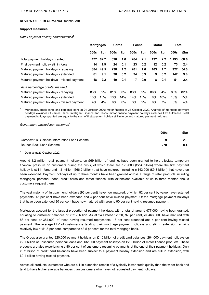#### **Support measures**

*Retail payment holiday characteristics***<sup>1</sup>**

|                                           | <b>Mortgages</b> |      | Cards |     | Loans |     | Motor   |                  | Total |      |
|-------------------------------------------|------------------|------|-------|-----|-------|-----|---------|------------------|-------|------|
|                                           | 000s             | £bn  | 000s  | £bn | 000s  | £bn | 000s    | £bn              | 000s  | £bn  |
| Total payment holidays granted            | 477              | 62.7 | 320   | 1.6 | 264   | 2.1 | 132     | $2.2\phantom{0}$ | 1.193 | 68.6 |
| First payment holiday still in force      | 14               | 1.9  | 24    | 0.1 | 23    | 0.2 | $12 \,$ | 0.2              | 73    | 2.4  |
| Matured payment holidays - repaying       | 384              | 49.5 | 238   | 1.2 | 201   | 1.6 | 103     | 1.7              | 927   | 54.0 |
| Matured payment holidays - extended       | 61               | 9.1  | 38    | 0.2 | 34    | 0.3 | 9       | 0.2              | 142   | 9.8  |
| Matured payment holidays - missed payment | 18               | 2.2  | 19    | 0.1 | 7     | 0.0 | 8       | 0.1              | 51    | 2.4  |
| As a percentage of total matured          |                  |      |       |     |       |     |         |                  |       |      |
| Matured payment holidays - repaying       | 83%              | 82%  | 81%   | 80% | 83%   | 82% | 86%     | 84%              | 83%   | 82%  |
| Matured payment holidays - extended       | 13%              | 15%  | 13%   | 14% | 14%   | 15% | 8%      | 10%              | 13%   | 15%  |
| Matured payment holidays - missed payment | 4%               | 4%   | 6%    | 6%  | 3%    | 2%  | 6%      | 7%               | 5%    | 4%   |

<sup>1</sup> Mortgages, credit cards and personal loans at 24 October 2020; motor finance at 23 October 2020. Analysis of mortgage payment holidays excludes St James Place, Intelligent Finance and Tesco; motor finance payment holidays excludes Lex Autolease. Total payment holidays granted are equal to the sum of first payment holiday still in force and matured payment holidays.

*Government-backed loan schemes<sup>1</sup>*

|                                               | 000s | £bn |
|-----------------------------------------------|------|-----|
| Coronavirus Business Interruption Loan Scheme |      | 2.0 |
| Bounce Back Loan Scheme                       | 278  | 8.4 |

Data as at 23 October 2020.

Around 1.2 million retail payment holidays, on £69 billion of lending, have been granted to help alleviate temporary financial pressure on customers during the crisis, of which there are c.73,000 (£2.4 billion) where the first payment holiday is still in force and 1.1 million (£66.2 billion) that have matured, including c.142,000 (£9.8 billion) that have then been extended. Payment holidays of up to three months have been granted across a range of retail products including mortgages, personal loans, credit cards and motor finance, with extensions available of up to three months should customers request them.

The vast majority of first payment holidays (96 per cent) have now matured, of which 82 per cent by value have restarted payments, 15 per cent have been extended and 4 per cent have missed payment. Of the mortgage payment holidays that have been extended 30 per cent have now matured with around 90 per cent having resumed payment.

Mortgages account for the largest proportion of payment holidays, with a total of around 477,000 having been granted, equating to customer balances of £62.7 billion. As at 24 October 2020, 97 per cent, or 463,000, have matured with 83 per cent, or 384,000, of those having resumed repayments, 13 per cent extended and 4 per cent having missed payment. The average LTV of customers extending their mortgage payment holidays and still in extension remains relatively low at 51.6 per cent, compared to 43.5 per cent for the total mortgage book.

The Group also granted 320,000 payment holidays on £1.6 billion of credit card balances, 264,000 payment holidays on £2.1 billion of unsecured personal loans and 132,000 payment holidays on £2.2 billion of motor finance products. These products are also experiencing c.80 per cent of customers resuming payments at the end of their payment holidays. Only £0.2 billion of credit card balances have been subject to a payment holiday extension and are still in extension, with £0.1 billion having missed payment.

Across all products, customers who are still in extension remain of a typically lower credit quality than the wider book and tend to have higher average balances than customers who have not requested payment holidays.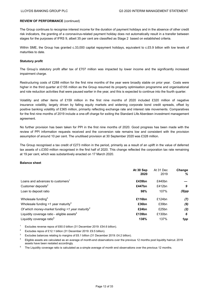The Group continues to recognise interest income for the duration of payment holidays and in the absence of other credit risk indicators, the granting of a coronavirus-related payment holiday does not automatically result in a transfer between stages for the purposes of IFRS 9, albeit 35 per cent are classified as Stage 2 based on established criteria.

Within SME, the Group has granted c.33,000 capital repayment holidays, equivalent to c.£5.9 billion with low levels of maturities to date.

#### **Statutory profit**

The Group's statutory profit after tax of £707 million was impacted by lower income and the significantly increased impairment charge.

Restructuring costs of £288 million for the first nine months of the year were broadly stable on prior year. Costs were higher in the third quarter at £155 million as the Group resumed its property optimisation programme and organisational and role reduction activities that were paused earlier in the year, and this is expected to continue into the fourth quarter.

Volatility and other items of £159 million in the first nine months of 2020 included £320 million of negative insurance volatility, largely driven by falling equity markets and widening corporate bond credit spreads, offset by positive banking volatility of £365 million, primarily reflecting exchange rate and interest rate movements. Comparatives for the first nine months of 2019 include a one-off charge for exiting the Standard Life Aberdeen investment management agreement.

No further provision has been taken for PPI in the first nine months of 2020. Good progress has been made with the review of PPI information requests received and the conversion rate remains low and consistent with the provision assumption of around 10 per cent. The unutilised provision at 30 September 2020 was £328 million.

The Group recognised a tax credit of £273 million in the period, primarily as a result of an uplift in the value of deferred tax assets of c.£350 million recognised in the first half of 2020. This change reflected the corporation tax rate remaining at 19 per cent, which was substantively enacted on 17 March 2020.

#### **Balance sheet**

|                                                             | At 30 Sep<br>2020 | At 31 Dec<br>2019 | <b>Change</b><br>% |
|-------------------------------------------------------------|-------------------|-------------------|--------------------|
| Loans and advances to customers <sup>1</sup>                | £439bn            | £440bn            |                    |
| Customer deposits <sup>2</sup>                              | £447bn            | £412bn            | 9                  |
| Loan to deposit ratio                                       | 98%               | 107%              | $(9)$ pp           |
| Wholesale funding $3$                                       | £116bn            | £124 $bn$         | (7)                |
| Wholesale funding $\leq 1$ year maturity <sup>3</sup>       | £36bn             | £39bn             | (9)                |
| Of which money-market funding <1 year maturity <sup>3</sup> | £24bn             | £25bn             | (2)                |
| Liquidity coverage ratio - eligible assets <sup>4</sup>     | £139bn            | £130bn            | 6                  |
| Liquidity coverage ratio <sup>5</sup>                       | 138%              | 137%              | 1pp                |

Excludes reverse repos of £60.0 billion (31 December 2019: £54.6 billion).

<sup>2</sup> Excludes repos of £12.1 billion (31 December 2019: £9.5 billion).

<sup>3</sup> Excludes balances relating to margins of £6.1 billion (31 December 2019: £4.2 billion).

<sup>4</sup> Eligible assets are calculated as an average of month-end observations over the previous 12 months post liquidity haircut. 2019 assets have been restated accordingly.

<sup>5</sup> The Liquidity coverage ratio is calculated as a simple average of month end observations over the previous 12 months.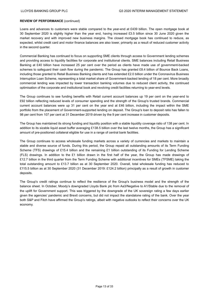Loans and advances to customers were stable compared to the year-end at £439 billion. The open mortgage book at 30 September 2020 is slightly higher than the year end, having increased £3.5 billion since 30 June 2020 given the market recovery and with improved new business margins. The closed mortgage book has continued to reduce, as expected, whilst credit card and motor finance balances are also lower, primarily as a result of reduced customer activity in the second quarter.

Commercial Banking has continued to focus on supporting SME clients through access to Government lending schemes and providing access to liquidity facilities for corporate and institutional clients. SME balances including Retail Business Banking at £40 billion have increased 25 per cent over the period as clients have made use of government-backed schemes to safeguard their cash flow during the pandemic. The Group has granted £8.4 billion of Bounce Back Loans, including those granted to Retail Business Banking clients and has extended £2.0 billion under the Coronavirus Business Interruption Loan Scheme, representing a total market share of Government-backed lending of 18 per cent. More broadly commercial lending was impacted by lower transaction banking volumes due to reduced client activity, the continued optimisation of the corporate and institutional book and revolving credit facilities returning to year-end levels.

The Group continues to see funding benefits with Retail current account balances up 19 per cent on the year-end to £92 billion reflecting reduced levels of consumer spending and the strength of the Group's trusted brands. Commercial current account balances were up 31 per cent on the year end at £46 billion, including the impact within the SME portfolio from the placement of Government-supported lending on deposit. The Group's loan to deposit ratio has fallen to 98 per cent from 107 per cent at 31 December 2019 driven by the 9 per cent increase in customer deposits.

The Group has maintained its strong funding and liquidity position with a stable liquidity coverage ratio of 138 per cent. In addition to its sizable liquid asset buffer averaging £138.5 billion over the last twelve months, the Group has a significant amount of pre-positioned collateral eligible for use in a range of central bank facilities.

The Group continues to access wholesale funding markets across a variety of currencies and markets to maintain a stable and diverse source of funds. During this period, the Group repaid all outstanding amounts of its Term Funding Scheme (TFS) drawings of £15.4 billion and the remaining £1 billion outstanding of its Funding for Lending Scheme (FLS) drawings. In addition to the £1 billion drawn in the first half of the year, the Group has made drawings of £12.7 billion in the third quarter from the Term Funding Scheme with additional incentives for SMEs (TFSME) taking the total outstanding amount to £13.7 billion as at 30 September 2020. Overall, total wholesale funding has reduced to £115.5 billion as at 30 September 2020 (31 December 2019: £124.2 billion) principally as a result of growth in customer deposits.

The Group's credit ratings continue to reflect the resilience of the Group's business model and the strength of the balance sheet. In October, Moody's downgraded Lloyds Bank plc from Aa3/Negative to A1/Stable due to the removal of the uplift for Government support. This was triggered by the downgrade of the UK sovereign rating a few days earlier given the agencies' pandemic and Brexit concerns, but did not impact the standalone rating of the bank. Over the year both S&P and Fitch have affirmed the Group's ratings, albeit with negative outlooks to reflect their concerns over the UK economy.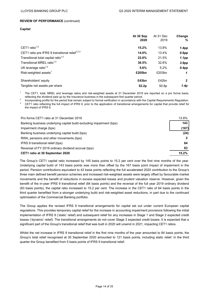**Capital**

|                                                            | At 30 Sep<br>At 31 Dec |                   | <b>Change</b>     |
|------------------------------------------------------------|------------------------|-------------------|-------------------|
|                                                            | 2020                   | 2019              | %                 |
| CET1 ratio $1,2$                                           | 15.2%                  | 13.8%             | 1.4pp             |
| CET1 ratio pre IFRS 9 transitional relief <sup>1,2,3</sup> | 14.0%                  | 13.4%             | $0.6$ pp          |
| Transitional total capital ratio <sup>1,2</sup>            | 22.6%                  | 21.5%             | 1.1 <sub>pp</sub> |
| Transitional MREL ratio <sup>1,2</sup>                     | 36.5%                  | 32.6%             | 3.9 <sub>pp</sub> |
| UK leverage ratio $1,2$                                    | 5.6%                   | 5.2%              | $0.4$ pp          |
| Risk-weighted assets <sup>1</sup>                          | £205bn                 | £203bn            | 1                 |
| Shareholders' equity                                       | £43bn                  | £42bn             | $\overline{2}$    |
| Tangible net assets per share                              | 52.2p                  | 50.8 <sub>p</sub> | 1.4p              |

The CET1, total, MREL and leverage ratios and risk-weighted assets at 31 December 2019 are reported on a pro forma basis, reflecting the dividend paid up by the Insurance business in the subsequent first quarter period.

2 Incorporating profits for the period that remain subject to formal verification in accordance with the Capital Requirements Regulation. <sup>3</sup> CET1 ratio reflecting the full impact of IFRS 9, prior to the application of transitional arrangements for capital that provide relief for the impact of IFRS 9.

| Pro forma CET1 ratio at 31 December 2019                             | 13.8% |
|----------------------------------------------------------------------|-------|
| Banking business underlying capital build excluding impairment (bps) | 143   |
| Impairment charge (bps)                                              | (167) |
| Banking business underlying capital build (bps)                      | (24)  |
| RWA, pensions and other movements (bps)                              |       |
| IFRS 9 transitional relief (bps)                                     | 84    |
| Reversal of FY 2019 ordinary dividend accrual (bps)                  | 83    |
| CET1 ratio at 30 September 2020                                      | 15.2% |

The Group's CET1 capital ratio increased by 145 basis points to 15.2 per cent over the first nine months of the year. Underlying capital build of 143 basis points was more than offset by the 167 basis point impact of impairment in the period. Pension contributions equivalent to 42 basis points reflecting the full accelerated 2020 contribution to the Group's three main defined benefit pension schemes and increased risk-weighted assets were largely offset by favourable market movements and the benefit of reductions in excess expected losses and prudent valuation reserve. However, given the benefit of the in-year IFRS 9 transitional relief (84 basis points) and the reversal of the full year 2019 ordinary dividend (83 basis points), the capital ratio increased to 15.2 per cent. The increase in the CET1 ratio of 64 basis points in the third quarter benefited from a stronger underlying build and risk-weighted asset reductions, in part due to the continued optimisation of the Commercial Banking portfolio.

The Group applies the revised IFRS 9 transitional arrangements for capital set out under current European capital regulations. This provides temporary capital relief for the increase in accounting impairment provisions following the initial implementation of IFRS 9 ('static' relief) and subsequent relief for any increases in Stage 1 and Stage 2 expected credit losses ('dynamic' relief). The transitional arrangements do not cover Stage 3 expected credit losses. It is expected that a significant part of the Group's transitional relief that was built in 2020 will unwind in 2021, impacting CET1 ratios.

Whilst the net increase in IFRS 9 transitional relief in the first nine months of the year amounted to 84 basis points, the Group's total relief recognised at 30 September 2020 amounted to 121 basis points, including static relief. In the third quarter the Group benefited from 5 basis points of IFRS 9 transitional relief.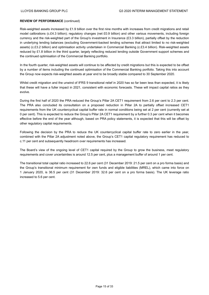Risk-weighted assets increased by £1.9 billion over the first nine months with increases from credit migrations and retail model calibrations (c.£4.3 billion); regulatory changes (net £0.9 billion) and other various movements, including foreign currency and the risk-weighted part of the Group's investment in Insurance (£3.3 billion), partially offset by the reduction in underlying lending balances (excluding Government-backed lending schemes that attract limited to no risk-weighted assets) (c.£3.2 billion) and optimisation activity undertaken in Commercial Banking (c.£3.4 billion). Risk-weighted assets reduced by £1.8 billion in the third quarter, largely reflecting reduced lending outside Government support schemes and the continued optimisation of the Commercial Banking portfolio.

In the fourth quarter, risk-weighted assets will continue to be affected by credit migrations but this is expected to be offset by a number of items including the continued optimisation of the Commercial Banking portfolio. Taking this into account the Group now expects risk-weighted assets at year end to be broadly stable compared to 30 September 2020.

Whilst credit migration and the unwind of IFRS 9 transitional relief in 2020 has so far been less than expected, it is likely that these will have a fuller impact in 2021, consistent with economic forecasts. These will impact capital ratios as they evolve.

During the first half of 2020 the PRA reduced the Group's Pillar 2A CET1 requirement from 2.6 per cent to 2.3 per cent. The PRA also concluded its consultation on a proposed reduction in Pillar 2A to partially offset increased CET1 requirements from the UK countercyclical capital buffer rate in normal conditions being set at 2 per cent (currently set at 0 per cent). This is expected to reduce the Group's Pillar 2A CET1 requirement by a further 0.3 per cent when it becomes effective before the end of the year although, based on PRA policy statements, it is expected that this will be offset by other regulatory capital requirements.

Following the decision by the PRA to reduce the UK countercyclical capital buffer rate to zero earlier in the year, combined with the Pillar 2A adjustment noted above, the Group's CET1 capital regulatory requirement has reduced to c.11 per cent and subsequently headroom over requirements has increased.

The Board's view of the ongoing level of CET1 capital required by the Group to grow the business, meet regulatory requirements and cover uncertainties is around 12.5 per cent, plus a management buffer of around 1 per cent.

The transitional total capital ratio increased to 22.6 per cent (31 December 2019: 21.5 per cent on a pro forma basis) and the Group's transitional minimum requirement for own funds and eligible liabilities (MREL), which came into force on 1 January 2020, is 36.5 per cent (31 December 2019: 32.6 per cent on a pro forma basis). The UK leverage ratio increased to 5.6 per cent.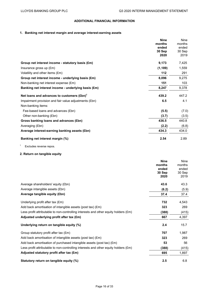# **ADDITIONAL FINANCIAL INFORMATION**

# **1. Banking net interest margin and average interest-earning assets**

|                                                        | <b>Nine</b> | <b>Nine</b> |
|--------------------------------------------------------|-------------|-------------|
|                                                        | months      | months      |
|                                                        | ended       | ended       |
|                                                        | 30 Sep      | 30 Sep      |
|                                                        | 2020        | 2019        |
| Group net interest income - statutory basis (£m)       | 9,173       | 7,425       |
| Insurance gross up $(\text{Em})$                       | (1, 189)    | 1,559       |
| Volatility and other items (£m)                        | 112         | 291         |
| Group net interest income - underlying basis (£m)      | 8,096       | 9,275       |
| Non-banking net interest expense (£m)                  | 151         | 103         |
| Banking net interest income - underlying basis (£m)    | 8,247       | 9,378       |
| Net loans and advances to customers (£bn) <sup>1</sup> | 439.2       | 447.2       |
| Impairment provision and fair value adjustments (£bn)  | 6.5         | 4.1         |
| Non-banking items:                                     |             |             |
| Fee-based loans and advances (£bn)                     | (5.5)       | (7.0)       |
| Other non-banking (£bn)                                | (3.7)       | (3.5)       |
| Gross banking loans and advances (£bn)                 | 436.5       | 440.8       |
| Averaging (£bn)                                        | (2.2)       | (6.8)       |
| Average interest-earning banking assets (£bn)          | 434.3       | 434.0       |
| Banking net interest margin (%)                        | 2.54        | 2.89        |

<sup>1</sup> Excludes reverse repos.

# **2. Return on tangible equity**

|                                                                                     | <b>Nine</b> | <b>Nine</b> |
|-------------------------------------------------------------------------------------|-------------|-------------|
|                                                                                     | months      | months      |
|                                                                                     | ended       | ended       |
|                                                                                     | 30 Sep      | 30 Sep      |
|                                                                                     | 2020        | 2019        |
| Average shareholders' equity (£bn)                                                  | 43.6        | 43.3        |
| Average intangible assets (£bn)                                                     | (6.2)       | (5.9)       |
| Average tangible equity (£bn)                                                       | 37.4        | 37.4        |
| Underlying profit after tax (£m)                                                    | 732         | 4,543       |
| Add back amortisation of intangible assets (post tax) (£m)                          | 323         | 269         |
| Less profit attributable to non-controlling interests and other equity holders (£m) | (388)       | (415)       |
| Adjusted underlying profit after tax (£m)                                           | 667         | 4,397       |
| Underlying return on tangible equity (%)                                            | 2.4         | 15.7        |
| Group statutory profit after tax (£m)                                               | 707         | 1,987       |
| Add back amortisation of intangible assets (post tax) $(\text{Em})$                 | 323         | 269         |
| Add back amortisation of purchased intangible assets (post tax) (£m)                | 53          | 56          |
| Less profit attributable to non-controlling interests and other equity holders (£m) | (388)       | (415)       |
| Adjusted statutory profit after tax (£m)                                            | 695         | 1,897       |
| Statutory return on tangible equity (%)                                             | 2.5         | 6.8         |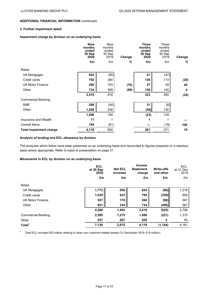# **3. Further impairment detail**

# **Impairment charge by division on an underlying basis**

|                                | <b>Nine</b><br>months<br>ended<br>30 Sep<br>2020 | <b>Nine</b><br>months<br>ended<br>30 Sep<br>2019 | <b>Change</b> | <b>Three</b><br>months<br>ended<br>30 Sep<br>2020 | Three<br>months<br>ended<br>30 Sep<br>2019 | Change |
|--------------------------------|--------------------------------------------------|--------------------------------------------------|---------------|---------------------------------------------------|--------------------------------------------|--------|
|                                | £m                                               | £m                                               | %             | £m                                                | £m                                         | %      |
| Retail:                        |                                                  |                                                  |               |                                                   |                                            |        |
| <b>UK Mortgages</b>            | 624                                              | (85)                                             |               | 21                                                | (47)                                       |        |
| Credit cards                   | 792                                              | 380                                              |               | 136                                               | 113                                        | (20)   |
| <b>UK Motor Finance</b>        | 268                                              | 153                                              | (75)          | 27                                                | 49                                         | 45     |
| Other                          | 734                                              | 368                                              | (99)          | 139                                               | 145                                        | 4      |
|                                | 2,418                                            | 816                                              |               | 323                                               | 260                                        | (24)   |
| <b>Commercial Banking:</b>     |                                                  |                                                  |               |                                                   |                                            |        |
| <b>SME</b>                     | 288                                              | (54)                                             |               | 31                                                | (6)                                        |        |
| Other                          | 1,208                                            | 248                                              |               | (54)                                              | 135                                        |        |
|                                | 1,496                                            | 194                                              |               | (23)                                              | 129                                        |        |
| Insurance and Wealth           | 11                                               | 1                                                |               |                                                   |                                            |        |
| <b>Central Items</b>           | 194                                              | (61)                                             |               |                                                   | (19)                                       | 100    |
| <b>Total impairment charge</b> | 4,119                                            | 950                                              |               | 301                                               | 371                                        | 19     |

#### **Analysis of lending and ECL allowance by division**

The analyses which follow have been presented on an underlying basis and reconciled to figures prepared on a statutory basis where appropriate. Refer to basis of presentation on page 31.

#### **Movements in ECL by division on an underlying basis**

|                           | <b>ECL</b><br>at 30 Sep<br>2020 | <b>Net ECL</b><br>increase | <b>Income</b><br><b>Statement</b><br>charge<br>£m | <b>Write-offs</b><br>and other<br>£m | <b>ECL</b><br>at 31 Dec<br>2019 |
|---------------------------|---------------------------------|----------------------------|---------------------------------------------------|--------------------------------------|---------------------------------|
|                           | £m                              | £m                         |                                                   |                                      | £m                              |
| Retail:                   |                                 |                            |                                                   |                                      |                                 |
| <b>UK Mortgages</b>       | 1,772                           | 556                        | 624                                               | (68)                                 | 1,216                           |
| Credit cards              | 1,039                           | 433                        | 792                                               | (359)                                | 606                             |
| <b>UK Motor Finance</b>   | 557                             | 170                        | 268                                               | (98)                                 | 387                             |
| Other                     | 921                             | 334                        | 734                                               | (400)                                | 587                             |
|                           | 4,289                           | 1,493                      | 2,418                                             | (925)                                | 2,796                           |
| <b>Commercial Banking</b> | 2,590                           | 1,275                      | 1,496                                             | (221)                                | 1,315                           |
| Other                     | 257                             | 207                        | 205                                               | 2                                    | 50                              |
| Total <sup>1</sup>        | 7,136                           | 2,975                      | 4,119                                             | (1, 144)                             | 4,161                           |

<sup>1</sup> Total ECL includes £52 million relating to other non customer-related assets (31 December 2019: £19 million).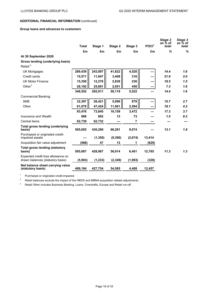#### **Group loans and advances to customers**

|                                                                       | <b>Total</b> | Stage 1  | Stage 2  | Stage 3        | POCI <sup>1</sup> | Stage 2<br>as % of<br>total | Stage 3<br>as % of<br>total |
|-----------------------------------------------------------------------|--------------|----------|----------|----------------|-------------------|-----------------------------|-----------------------------|
|                                                                       | £m           | £m       | £m       | £m             | £m                | %                           | %                           |
| At 30 September 2020                                                  |              |          |          |                |                   |                             |                             |
| Gross lending (underlying basis)                                      |              |          |          |                |                   |                             |                             |
| Retail: $^2$                                                          |              |          |          |                |                   |                             |                             |
| UK Mortgages                                                          | 289,439      | 243,097  | 41,822   | 4,520          |                   | 14.4                        | 1.6                         |
| Credit cards                                                          | 15,571       | 11,847   | 3,408    | 316            |                   | 21.9                        | 2.0                         |
| <b>UK Motor Finance</b>                                               | 15,350       | 12,276   | 2,838    | 236            |                   | 18.5                        | 1.5                         |
| Other $3$                                                             | 28,192       | 25,691   | 2,051    | 450            |                   | 7.3                         | 1.6                         |
|                                                                       | 348,552      | 292,911  | 50,119   | 5,522          |                   | 14.4                        | 1.6                         |
| <b>Commercial Banking:</b>                                            |              |          |          |                |                   |                             |                             |
| <b>SME</b>                                                            | 32,397       | 26,421   | 5,098    | 878            |                   | 15.7                        | 2.7                         |
| Other                                                                 | 61,079       | 47,424   | 11,061   | 2,594          |                   | 18.1                        | 4.2                         |
|                                                                       | 93,476       | 73,845   | 16,159   | 3,472          |                   | 17.3                        | 3.7                         |
| Insurance and Wealth                                                  | 888          | 802      | 13       | 73             |                   | 1.5                         | 8.2                         |
| Central items                                                         | 62,739       | 62,732   |          | $\overline{7}$ |                   |                             |                             |
| <b>Total gross lending (underlying</b><br>basis)                      | 505,655      | 430,290  | 66,291   | 9,074          |                   | 13.1                        | 1.8                         |
| Purchased or originated credit-<br>impaired assets                    |              | (1, 350) | (9, 390) | (2,674)        | 13,414            |                             |                             |
| Acquisition fair value adjustment                                     | (568)        | 47       | 13       | 1              | (629)             |                             |                             |
| <b>Total gross lending (statutory</b><br>basis)                       | 505,087      | 428,987  | 56,914   | 6,401          | 12,785            | 11.3                        | 1.3                         |
| Expected credit loss allowance on<br>drawn balances (statutory basis) | (5,903)      | (1, 233) | (2, 349) | (1,993)        | (328)             |                             |                             |
| Net balance sheet carrying value<br>(statutory basis)                 | 499,184      | 427,754  | 54,565   | 4,408          | 12,457            |                             |                             |

<sup>1</sup> Purchased or originated credit-impaired.

<sup>2</sup> Retail balances exclude the impact of the HBOS and MBNA acquisition related adjustments.

<sup>3</sup> Retail Other includes Business Banking, Loans, Overdrafts, Europe and Retail run-off.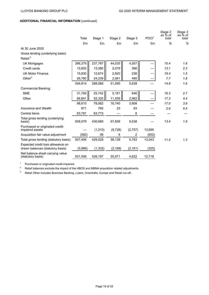|                                                                       | Total   | Stage 1  | Stage 2  | Stage 3  | POCI <sup>1</sup> | Stage 2<br>as % of<br>total | Stage 3<br>as % of<br>total |
|-----------------------------------------------------------------------|---------|----------|----------|----------|-------------------|-----------------------------|-----------------------------|
|                                                                       | £m      | £m       | £m       | £m       | £m                | %                           | %                           |
| At 30 June 2020                                                       |         |          |          |          |                   |                             |                             |
| Gross lending (underlying basis)                                      |         |          |          |          |                   |                             |                             |
| Retail: $2$                                                           |         |          |          |          |                   |                             |                             |
| <b>UK Mortgages</b>                                                   | 286,379 | 237,787  | 44,035   | 4,557    |                   | 15.4                        | 1.6                         |
| Credit cards                                                          | 15,825  | 13,380   | 2,079    | 366      |                   | 13.1                        | 2.3                         |
| <b>UK Motor Finance</b>                                               | 15,830  | 12,674   | 2,920    | 236      |                   | 18.4                        | 1.5                         |
| Other $3$                                                             | 26,780  | 24,239   | 2,061    | 480      |                   | 7.7                         | 1.8                         |
|                                                                       | 344,814 | 288,080  | 51,095   | 5,639    |                   | 14.8                        | 1.6                         |
| <b>Commercial Banking:</b>                                            |         |          |          |          |                   |                             |                             |
| <b>SME</b>                                                            | 31,769  | 25,742   | 5,181    | 846      |                   | 16.3                        | 2.7                         |
| Other                                                                 | 66,841  | 52,320   | 11,559   | 2,962    |                   | 17.3                        | 4.4                         |
|                                                                       | 98,610  | 78,062   | 16,740   | 3,808    |                   | 17.0                        | 3.9                         |
| Insurance and Wealth                                                  | 871     | 765      | 23       | 83       |                   | 2.6                         | 9.5                         |
| Central items                                                         | 63,781  | 63,773   |          | 8        |                   |                             |                             |
| Total gross lending (underlying<br>basis)                             | 508,076 | 430,680  | 67,858   | 9,538    |                   | 13.4                        | 1.9                         |
| Purchased or originated credit-<br>impaired assets                    |         | (1,210)  | (9,728)  | (2,757)  | 13,695            |                             |                             |
| Acquisition fair value adjustment                                     | (582)   | 59       | 9        | 2        | (652)             |                             |                             |
| Total gross lending (statutory basis)                                 | 507,494 | 429,529  | 58,139   | 6,783    | 13,043            | 11.5                        | 1.3                         |
| Expected credit loss allowance on<br>drawn balances (statutory basis) | (5,986) | (1, 332) | (2, 168) | (2, 161) | (325)             |                             |                             |
| Net balance sheet carrying value<br>(statutory basis)                 | 501,508 | 428,197  | 55,971   | 4,622    | 12,718            |                             |                             |

<sup>1</sup> Purchased or originated credit-impaired.<br><sup>2</sup> Potail belances exclude the impact of the

Retail balances exclude the impact of the HBOS and MBNA acquisition related adjustments.

<sup>3</sup> Retail Other includes Business Banking, Loans, Overdrafts, Europe and Retail run-off.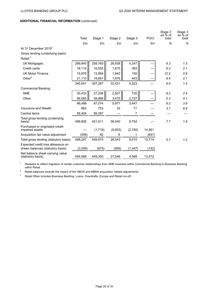|                                                                       | Total   | Stage 1 | Stage 2 | Stage 3        | <b>POCI</b> | Stage 2<br>as % of<br>total | Stage 3<br>as % of<br>total |
|-----------------------------------------------------------------------|---------|---------|---------|----------------|-------------|-----------------------------|-----------------------------|
|                                                                       | £m      | £m      | £m      | £m             | £m          | %                           | %                           |
| At 31 December 2019 <sup>1</sup>                                      |         |         |         |                |             |                             |                             |
| Gross lending (underlying basis)                                      |         |         |         |                |             |                             |                             |
| Retail: <sup>2</sup>                                                  |         |         |         |                |             |                             |                             |
| <b>UK Mortgages</b>                                                   | 289,845 | 258,760 | 26,838  | 4,247          |             | 9.3                         | 1.5                         |
| Credit cards                                                          | 18,110  | 16,052  | 1,675   | 383            |             | 9.2                         | 2.1                         |
| <b>UK Motor Finance</b>                                               | 15,976  | 13,884  | 1,942   | 150            |             | 12.2                        | 0.9                         |
| Other $3$                                                             | 21,110  | 18,691  | 1,976   | 443            |             | 9.4                         | 2.1                         |
|                                                                       | 345,041 | 307,387 | 32,431  | 5,223          |             | 9.4                         | 1.5                         |
| <b>Commercial Banking:</b>                                            |         |         |         |                |             |                             |                             |
| <b>SME</b>                                                            | 30,433  | 27,206  | 2,507   | 720            |             | 8.2                         | 2.4                         |
| Other                                                                 | 66,065  | 59,868  | 3,470   | 2,727          |             | 5.3                         | 4.1                         |
|                                                                       | 96,498  | 87,074  | 5,977   | 3,447          |             | 6.2                         | 3.6                         |
| Insurance and Wealth                                                  | 862     | 753     | 32      | 77             |             | 3.7                         | 8.9                         |
| Central items                                                         | 56,404  | 56,397  |         | $\overline{7}$ |             |                             |                             |
| Total gross lending (underlying<br>basis)                             | 498,805 | 451,611 | 38,440  | 8,754          |             | 7.7                         | 1.8                         |
| Purchased or originated credit-<br>impaired assets                    |         | (1,718) | (9,903) | (2,740)        | 14,361      |                             |                             |
| Acquisition fair value adjustment                                     | (558)   | 82      | 6       | 1              | (647)       |                             |                             |
| Total gross lending (statutory basis)                                 | 498,247 | 449,975 | 28,543  | 6,015          | 13,714      | 5.7                         | 1.2                         |
| Expected credit loss allowance on<br>drawn balances (statutory basis) | (3,259) | (675)   | (995)   | (1, 447)       | (142)       |                             |                             |
| Net balance sheet carrying value<br>(statutory basis)                 | 494,988 | 449,300 | 27,548  | 4,568          | 13,572      |                             |                             |

<sup>1</sup> Restated to reflect migration of certain customer relationships from SME business within Commercial Banking to Business Banking within Retail.

<sup>2</sup> Retail balances exclude the impact of the HBOS and MBNA acquisition related adjustments.<br><sup>3</sup> Betail Other includes Business Banking Loans, Querdrafts, Europe and Retail run-off

Retail Other includes Business Banking, Loans, Overdrafts, Europe and Retail run-off.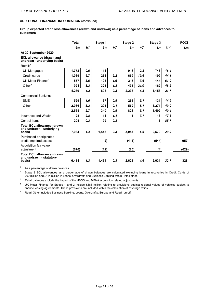**Group expected credit loss allowances (drawn and undrawn) as a percentage of loans and advances to customers**

|                                                                         | <b>Total</b> |         | Stage 1 |         | Stage 2 |         | Stage 3 | <b>POCI</b>                  |       |
|-------------------------------------------------------------------------|--------------|---------|---------|---------|---------|---------|---------|------------------------------|-------|
|                                                                         | £m           | $%^{1}$ | £m      | $%^{1}$ | £m      | $%^{1}$ | £m      | $\frac{9}{6}$ <sup>1,2</sup> | £m    |
| At 30 September 2020                                                    |              |         |         |         |         |         |         |                              |       |
| <b>ECL allowance (drawn and</b><br>undrawn - underlying basis)          |              |         |         |         |         |         |         |                              |       |
| Retail: <sup>3</sup>                                                    |              |         |         |         |         |         |         |                              |       |
| <b>UK Mortgages</b>                                                     | 1,772        | 0.6     | 111     |         | 918     | 2.2     | 743     | 16.4                         |       |
| Credit cards                                                            | 1,039        | 6.7     | 261     | 2.2     | 669     | 19.6    | 109     | 44.1                         |       |
| UK Motor Finance <sup>4</sup>                                           | 557          | 3.6     | 198     | 1.6     | 215     | 7.6     | 144     | 61.0                         |       |
| Other <sup>5</sup>                                                      | 921          | 3.3     | 328     | 1.3     | 431     | 21.0    | 162     | 48.2                         |       |
|                                                                         | 4,289        | 1.2     | 898     | 0.3     | 2,233   | 4.5     | 1,158   | 21.7                         |       |
| <b>Commercial Banking:</b>                                              |              |         |         |         |         |         |         |                              |       |
| <b>SME</b>                                                              | 529          | 1.6     | 137     | 0.5     | 261     | 5.1     | 131     | 14.9                         |       |
| Other                                                                   | 2,036        | 3.3     | 203     | 0.4     | 562     | 5.1     | 1,271   | 49.0                         |       |
|                                                                         | 2,565        | 2.7     | 340     | 0.5     | 823     | 5.1     | 1.402   | 40.4                         |       |
| Insurance and Wealth                                                    | 25           | 2.8     | 11      | 1.4     | 1       | 7.7     | 13      | 17.8                         |       |
| Central items                                                           | 205          | 0.3     | 199     | 0.3     |         |         | 6       | 85.7                         |       |
| <b>Total ECL allowance (drawn</b><br>and undrawn - underlying<br>basis) | 7,084        | 1.4     | 1,448   | 0.3     | 3,057   | 4.6     | 2,579   | 29.0                         |       |
| Purchased or originated<br>credit-impaired assets                       |              |         | (2)     |         | (411)   |         | (544)   |                              | 957   |
| Acquisition fair value<br>adjustment                                    | (670)        |         | (12)    |         | (25)    |         | (4)     |                              | (629) |
| <b>Total ECL allowance (drawn</b><br>and undrawn - statutory<br>basis)  | 6,414        | 1.3     | 1,434   | 0.3     | 2,621   | 4.6     | 2,031   | 32.7                         | 328   |

 $1$  As a percentage of drawn balances.

<sup>2</sup> Stage 3 ECL allowances as a percentage of drawn balances are calculated excluding loans in recoveries in Credit Cards of £69 million and £114 million in Loans, Overdrafts and Business Banking within Retail other.

<sup>3</sup> Retail balances exclude the impact of the HBOS and MBNA acquisition related adjustments.

<sup>4</sup> UK Motor Finance for Stages 1 and 2 include £188 million relating to provisions against residual values of vehicles subject to finance leasing agreements. These provisions are included within the calculation of coverage ratios.

<sup>5</sup> Retail Other includes Business Banking, Loans, Overdrafts, Europe and Retail run-off.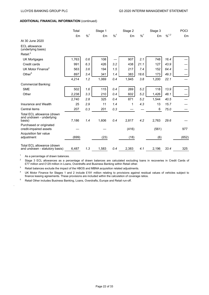|                                                                  | Total |         | Stage 1 |         | Stage 2 |         | Stage 3 | <b>POCI</b>                  |       |
|------------------------------------------------------------------|-------|---------|---------|---------|---------|---------|---------|------------------------------|-------|
|                                                                  | £m    | $%^{1}$ | £m      | $%^{1}$ | £m      | $%^{1}$ | £m      | $\frac{9}{6}$ <sup>1,2</sup> | £m    |
| At 30 June 2020                                                  |       |         |         |         |         |         |         |                              |       |
| <b>ECL allowance</b><br>(underlying basis)                       |       |         |         |         |         |         |         |                              |       |
| Retail: <sup>3</sup>                                             |       |         |         |         |         |         |         |                              |       |
| <b>UK Mortgages</b>                                              | 1,763 | 0.6     | 108     |         | 907     | 2.1     | 748     | 16.4                         |       |
| Credit cards                                                     | 991   | 6.3     | 426     | 3.2     | 438     | 21.1    | 127     | 43.9                         |       |
| UK Motor Finance <sup>4</sup>                                    | 563   | 3.6     | 194     | 1.5     | 217     | 7.4     | 152     | 64.4                         |       |
| Other $5$                                                        | 897   | 3.4     | 341     | 1.4     | 383     | 18.6    | 173     | 49.3                         |       |
|                                                                  | 4,214 | 1.2     | 1,069   | 0.4     | 1,945   | 3.8     | 1,200   | 22.1                         |       |
| <b>Commercial Banking:</b>                                       |       |         |         |         |         |         |         |                              |       |
| <b>SME</b>                                                       | 502   | 1.6     | 115     | 0.4     | 269     | 5.2     | 118     | 13.9                         |       |
| Other                                                            | 2,238 | 3.3     | 210     | 0.4     | 602     | 5.2     | 1,426   | 48.1                         |       |
|                                                                  | 2,740 | 2.8     | 325     | 0.4     | 871     | 5.2     | 1,544   | 40.5                         |       |
| Insurance and Wealth                                             | 25    | 2.9     | 11      | 1.4     | 1       | 4.3     | 13      | 15.7                         |       |
| Central items                                                    | 207   | 0.3     | 201     | 0.3     |         |         | 6       | 75.0                         |       |
| Total ECL allowance (drawn<br>and undrawn - underlying<br>basis) | 7,186 | 1.4     | 1,606   | 0.4     | 2,817   | 4.2     | 2,763   | 29.6                         |       |
| Purchased or originated<br>credit-impaired assets                |       |         |         |         | (416)   |         | (561)   |                              | 977   |
| Acquisition fair value<br>adjustment                             | (699) |         | (23)    |         | (18)    |         | (6)     |                              | (652) |
| Total ECL allowance (drawn<br>and undrawn - statutory basis)     | 6,487 | 1.3     | 1,583   | 0.4     | 2,383   | 4.1     | 2,196   | 33.4                         | 325   |

 $1$  As a percentage of drawn balances.

.

<sup>2</sup> Stage 3 ECL allowances as a percentage of drawn balances are calculated excluding loans in recoveries in Credit Cards of £77 million and £129 million in Loans, Overdrafts and Business Banking within Retail other.

<sup>3</sup> Retail balances exclude the impact of the HBOS and MBNA acquisition related adjustments.

<sup>4</sup> UK Motor Finance for Stages 1 and 2 include £191 million relating to provisions against residual values of vehicles subject to finance leasing agreements. These provisions are included within the calculation of coverage ratios.

<sup>5</sup> Retail Other includes Business Banking, Loans, Overdrafts, Europe and Retail run-off.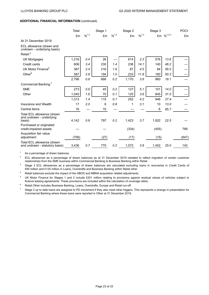|                                                                  | Total<br>£m | $\frac{9}{6}$ <sup>1,2</sup> | Stage 1<br>£m | $\frac{9}{6}$ <sup>1,2</sup> | Stage 2<br>£m | $\frac{9}{6}$ <sup>1,2</sup> | Stage 3 | £m $\%^{1,2,3}$ | <b>POCI</b><br>£m |
|------------------------------------------------------------------|-------------|------------------------------|---------------|------------------------------|---------------|------------------------------|---------|-----------------|-------------------|
| At 31 December 2019                                              |             |                              |               |                              |               |                              |         |                 |                   |
| ECL allowance (drawn and<br>undrawn - underlying basis)          |             |                              |               |                              |               |                              |         |                 |                   |
| Retail: <sup>4</sup>                                             |             |                              |               |                              |               |                              |         |                 |                   |
| <b>UK Mortgages</b>                                              | 1,216       | 0.4                          | 26            |                              | 614           | 2.3                          | 576     | 13.6            |                   |
| Credit cards                                                     | 606         | 3.4                          | 230           | 1.4                          | 236           | 14.1                         | 140     | 46.2            |                   |
| UK Motor Finance <sup>5</sup>                                    | 387         | 2.4                          | 216           | 1.6                          | 87            | 4.5                          | 84      | 56.0            |                   |
| Other $6$                                                        | 587         | 2.8                          | 194           | 1.0                          | 233           | 11.8                         | 160     | 50.3            |                   |
|                                                                  | 2,796       | 0.8                          | 666           | 0.2                          | 1,170         | 3.6                          | 960     | 19.1            |                   |
| Commercial Banking: <sup>7</sup>                                 |             |                              |               |                              |               |                              |         |                 |                   |
| <b>SME</b>                                                       | 273         | $0.9\,$                      | 45            | 0.2                          | 127           | 5.1                          | 101     | 14.0            |                   |
| Other                                                            | 1,040       | 1.6                          | 70            | 0.1                          | 125           | 3.6                          | 845     | 31.0            |                   |
|                                                                  | 1,313       | 1.4                          | 115           | 0.1                          | 252           | 4.2                          | 946     | 27.4            |                   |
| Insurance and Wealth                                             | 17          | 2.0                          | 6             | 0.8                          | 1             | 3.1                          | 10      | 13.0            |                   |
| Central items                                                    | 16          |                              | 10            |                              |               |                              | 6       | 85.7            |                   |
| Total ECL allowance (drawn<br>and undrawn - underlying<br>basis) | 4,142       | 0.8                          | 797           | 0.2                          | 1,423         | 3.7                          | 1,922   | 22.5            |                   |
| Purchased or originated<br>credit-impaired assets                |             |                              |               |                              | (334)         |                              | (455)   |                 | 789               |
| Acquisition fair value<br>adjustment                             | (706)       |                              | (27)          |                              | (17)          |                              | (15)    |                 | (647)             |
| Total ECL allowance (drawn<br>and undrawn - statutory basis)     | 3,436       | 0.7                          | 770           | 0.2                          | 1,072         | 3.8                          | 1,452   | 25.0            | 142               |

<sup>1</sup> As a percentage of drawn balances.

 $2$  ECL allowances as a percentage of drawn balances as at 31 December 2019 restated to reflect migration of certain customer relationships from the SME business within Commercial Banking to Business Banking within Retail.

<sup>3</sup> Stage 3 ECL allowances as a percentage of drawn balances are calculated excluding loans in recoveries in Credit Cards of £80 million and £125 million in Loans, Overdrafts and Business Banking within Retail other.

<sup>4</sup> Retail balances exclude the impact of the HBOS and MBNA acquisition related adjustments.

<sup>5</sup> UK Motor Finance for Stages 1 and 2 include £201 million relating to provisions against residual values of vehicles subject to finance leasing agreements. These provisions are included within the calculation of coverage ratios.

<sup>6</sup> Retail Other includes Business Banking, Loans, Overdrafts, Europe and Retail run-off.

 $<sup>7</sup>$  Stage 2 up to date loans are assigned to PD movement if they also meet other triggers. This represents a change in presentation for</sup> Commercial Banking where these loans were reported in Other at 31 December 2019.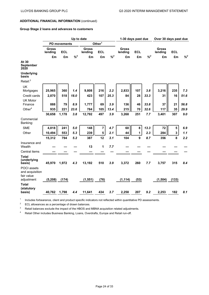## **Group Stage 2 loans and advances to customers**

|                                              |                  | Up to date          |          |                         |                         |          |                         | 1-30 days past due |         |                         | Over 30 days past due   |          |  |
|----------------------------------------------|------------------|---------------------|----------|-------------------------|-------------------------|----------|-------------------------|--------------------|---------|-------------------------|-------------------------|----------|--|
|                                              |                  | <b>PD movements</b> |          |                         | Other <sup>1</sup>      |          |                         |                    |         |                         |                         |          |  |
|                                              | Gross<br>lending | <b>ECL</b>          |          | <b>Gross</b><br>lending | <b>ECL</b>              |          | <b>Gross</b><br>lending | <b>ECL</b>         |         | <b>Gross</b><br>lending | <b>ECL</b>              |          |  |
|                                              | £m               | £m                  | $% ^{2}$ | £m                      | £m                      | $% ^{2}$ | £m                      | £m                 | $\% ^2$ | £m                      | £m                      | $% ^{2}$ |  |
| At 30<br><b>September</b><br>2020            |                  |                     |          |                         |                         |          |                         |                    |         |                         |                         |          |  |
| <b>Underlying</b><br>basis                   |                  |                     |          |                         |                         |          |                         |                    |         |                         |                         |          |  |
| Retail: <sup>3</sup>                         |                  |                     |          |                         |                         |          |                         |                    |         |                         |                         |          |  |
| UK<br>Mortgages                              | 25,965           | 360                 | 1.4      | 9,808                   | 216                     | 2.2      | 2,833                   | 107                | 3.8     | 3,216                   | 235                     | 7.3      |  |
| Credit cards                                 | 2,870            | 518                 | 18.0     | 423                     | 107                     | 25.3     | 84                      | 28                 | 33.3    | 31                      | 16                      | 51.6     |  |
| <b>UK Motor</b>                              |                  |                     |          |                         |                         |          |                         |                    |         |                         |                         |          |  |
| Finance                                      | 888              | 79                  | 8.9      | 1,777                   | 69                      | 3.9      | 136                     | 46                 | 33.8    | 37                      | 21                      | 56.8     |  |
| Other $4$                                    | 935              | 221                 | 23.6     | 784                     | 105                     | 13.4     | 215                     | 70                 | 32.6    | 117                     | 35                      | 29.9     |  |
|                                              | 30,658           | 1,178               | 3.8      | 12,792                  | 497                     | 3.9      | 3,268                   | 251                | 7.7     | 3,401                   | 307                     | 9.0      |  |
| Commercial<br>Banking:                       |                  |                     |          |                         |                         |          |                         |                    |         |                         |                         |          |  |
| <b>SME</b>                                   | 4,818            | 241                 | 5.0      | 148                     | $\overline{\mathbf{7}}$ | 4.7      | 60                      | 8                  | 13.3    | 72                      | 5                       | 6.9      |  |
| Other                                        | 10,494           | 553                 | 5.3      | 239                     | 5                       | 2.1      | 44                      | $\mathbf{1}$       | 2.3     | 284                     | $\overline{\mathbf{3}}$ | 1.1      |  |
|                                              | 15,312           | 794                 | 5.2      | 387                     | 12                      | 3.1      | 104                     | 9                  | 8.7     | 356                     | 8                       | 2.2      |  |
| Insurance and<br>Wealth                      |                  |                     |          | 13                      | 1                       | 7.7      |                         |                    |         |                         |                         |          |  |
| Central items                                |                  |                     |          |                         |                         |          |                         |                    |         |                         |                         |          |  |
| <b>Total</b><br>(underlying<br>basis)        | 45,970           | 1,972               | 4.3      | 13,192                  | 510                     | 3.9      | 3,372                   | 260                | 7.7     | 3,757                   | 315                     | 8.4      |  |
| POCI assets<br>and acquisition<br>fair value |                  |                     |          |                         |                         |          |                         |                    |         |                         |                         |          |  |
| adjustment                                   | (5, 208)         | (174)               |          | (1, 551)                | (76)                    |          | (1, 114)                | (53)               |         | (1, 504)                | (133)                   |          |  |
| <b>Total</b><br>(statutory<br>basis)         | 40,762           | 1,798               | 4.4      | 11,641                  | 434                     | 3.7      | 2,258                   | 207                | 9.2     | 2,253                   | 182                     | 8.1      |  |

1 Includes forbearance, client and product specific indicators not reflected within quantitative PD assessments.

 $2^2$  ECL allowances as a percentage of drawn balances.

<sup>3</sup> Retail balances exclude the impact of the HBOS and MBNA acquisition related adjustments.

<sup>4</sup> Retail Other includes Business Banking, Loans, Overdrafts, Europe and Retail run-off.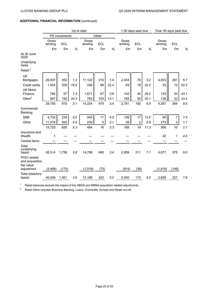|                                              | Up to date       |              |      |                  |            |      | 1-30 days past due |                |      | Over 30 days past due |                |      |
|----------------------------------------------|------------------|--------------|------|------------------|------------|------|--------------------|----------------|------|-----------------------|----------------|------|
|                                              |                  | PD movements |      |                  | Other      |      |                    |                |      |                       |                |      |
|                                              | Gross<br>lending | <b>ECL</b>   |      | Gross<br>lending | <b>ECL</b> |      | Gross<br>lending   | <b>ECL</b>     |      | Gross<br>lending      | <b>ECL</b>     |      |
|                                              | £m               | £m           | $\%$ | £m               | £m         | $\%$ | £m                 | £m             | $\%$ | £m                    | £m             | $\%$ |
| At 30 June<br>2020                           |                  |              |      |                  |            |      |                    |                |      |                       |                |      |
| Underlying<br>basis                          |                  |              |      |                  |            |      |                    |                |      |                       |                |      |
| Retail: <sup>1</sup>                         |                  |              |      |                  |            |      |                    |                |      |                       |                |      |
| UK<br>Mortgages                              | 26,507           | 352          | 1.3  | 11,122           | 210        | 1.9  | 2,403              | 78             | 3.2  | 4,003                 | 267            | 6.7  |
| Credit cards                                 | 1,555            | 309          | 19.9 | 438              | 98         | 22.4 | 63                 | 19             | 30.2 | 23                    | 12             | 52.2 |
| <b>UK Motor</b><br>Finance                   | 784              | 57           | 7.3  | 1,871            | 67         | 3.6  | 142                | 40             | 28.2 | 123                   | 53             | 43.1 |
| Other $2$                                    | 947              | 192          | 20.3 | 793              | 104        | 13.1 | 183                | 55             | 30.1 | 138                   | 32             | 23.2 |
|                                              | 29,793           | 910          | 3.1  | 14,224           | 479        | 3.4  | 2,791              | 192            | 6.9  | 4,287                 | 364            | 8.5  |
| Commercial<br>Banking:                       |                  |              |      |                  |            |      |                    |                |      |                       |                |      |
| <b>SME</b>                                   | 4,702            | 234          | 5.0  | 245              | 11         | 4.5  | 139                | 17             | 12.2 | 95                    | $\overline{7}$ | 7.4  |
| Other                                        | 11,018           | 592          | 5.4  | 239              | 5          | 2.1  | 29                 | $\overline{2}$ | 6.9  | 273                   | 3              | 1.1  |
|                                              | 15,720           | 826          | 5.3  | 484              | 16         | 3.3  | 168                | 19             | 11.3 | 368                   | 10             | 2.7  |
| Insurance and<br>Wealth                      | 1                |              |      |                  |            |      |                    |                |      | 22                    | $\mathbf{1}$   | 4.5  |
| Central items                                |                  |              |      |                  |            |      |                    |                |      |                       |                |      |
| Total<br>(underlying<br>basis)               | 45,514           | 1,736        | 3.8  | 14,708           | 495        | 3.4  | 2,959              | 211            | 7.1  | 4,677                 | 375            | 8.0  |
| POCI assets<br>and acquisition<br>fair value |                  |              |      |                  |            |      |                    |                |      |                       |                |      |
| adjustment                                   | (5, 468)         | (175)        |      | (1, 519)         | (73)       |      | (914)              | (38)           |      | (1, 818)              | (148)          |      |
| Total (statutory<br>basis)                   | 40,046           | 1,561        | 3.9  | 13,189           | 422        | 3.2  | 2,045              | 173            | 8.5  | 2,859                 | 227            | 7.9  |

<sup>1</sup> Retail balances exclude the impact of the HBOS and MBNA acquisition related adjustments.

<sup>2</sup> Retail Other includes Business Banking, Loans, Overdrafts, Europe and Retail run-off.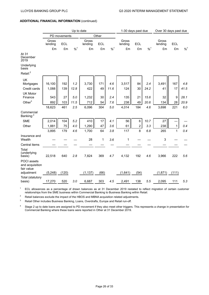|                                              | Up to date       |            |         |                  |            | 1-30 days past due |                  |                | Over 30 days past due |                  |            |         |
|----------------------------------------------|------------------|------------|---------|------------------|------------|--------------------|------------------|----------------|-----------------------|------------------|------------|---------|
|                                              | PD movements     |            |         |                  | Other      |                    |                  |                |                       |                  |            |         |
|                                              | Gross<br>lending | <b>ECL</b> |         | Gross<br>lending | <b>ECL</b> |                    | Gross<br>lending | <b>ECL</b>     |                       | Gross<br>lending | <b>ECL</b> |         |
|                                              | £m               | £m         | $%^{1}$ | £m               | £m         | $%^{1}$            | £m               | £m             | $%^{1}$               | £m               | £m         | $%^{1}$ |
| At 31<br>December<br>2019                    |                  |            |         |                  |            |                    |                  |                |                       |                  |            |         |
| Underlying<br>basis                          |                  |            |         |                  |            |                    |                  |                |                       |                  |            |         |
| Retail <sup>2</sup>                          |                  |            |         |                  |            |                    |                  |                |                       |                  |            |         |
| UK                                           |                  |            |         |                  |            |                    |                  |                |                       |                  |            |         |
| Mortgages                                    | 16,100           | 192        | 1.2     | 3,730            | 171        | 4.6                | 3,517            | 84             | 2.4                   | 3,491            | 167        | 4.8     |
| Credit cards                                 | 1,088            | 139        | 12.8    | 422              | 49         | 11.6               | 124              | 30             | 24.2                  | 41               | 17         | 41.5    |
| <b>UK Motor</b>                              |                  |            |         |                  |            |                    |                  |                |                       |                  |            |         |
| Finance                                      | 543              | 27         | 5.0     | 1,232            | 30         | 2.4                | 135              | 21             | 15.6                  | 32               | 9          | 28.1    |
| Other $3$                                    | 892              | 103        | 11.5    | 712              | 54         | 7.6                | 238              | 49             | 20.6                  | 134              | 28         | 20.9    |
|                                              | 18,623           | 461        | 2.5     | 6,096            | 304        | 5.0                | 4,014            | 184            | 4.6                   | 3,698            | 221        | 6.0     |
| Commercial<br>Banking: <sup>4</sup>          |                  |            |         |                  |            |                    |                  |                |                       |                  |            |         |
| <b>SME</b>                                   | 2,014            | 104        | 5.2     | 410              | 17         | 4.1                | 56               | $\,6$          | 10.7                  | 27               |            |         |
| Other                                        | 1,881            | 75         | 4.0     | 1,290            | 47         | 3.6                | 61               | $\overline{c}$ | 3.3                   | 238              | 1          | 0.4     |
|                                              | 3,895            | 179        | 4.6     | 1,700            | 64         | 3.8                | 117              | 8              | 6.8                   | 265              | 1          | 0.4     |
| Insurance and<br>Wealth                      |                  |            |         | 28               | 1          | 3.6                | 1                |                |                       | 3                |            |         |
| Central items                                |                  |            |         |                  |            |                    |                  |                |                       |                  |            |         |
| Total<br>(underlying<br>basis)               | 22,518           | 640        | 2.8     | 7,824            | 369        | 4.7                | 4,132            | 192            | 4.6                   | 3,966            | 222        | 5.6     |
| POCI assets<br>and acquisition<br>fair value |                  |            |         |                  |            |                    |                  |                |                       |                  |            |         |
| adjustment                                   | (5, 248)         | (120)      |         | (1, 137)         | (66)       |                    | (1,641)          | (54)           |                       | (1, 871)         | (111)      |         |
| Total (statutory<br>basis)                   | 17,270           | 520        | 3.0     | 6,687            | 303        | 4.5                | 2,491            | 138            | 5.5                   | 2,095            | 111        | 5.3     |

<sup>1</sup> ECL allowances as a percentage of drawn balances as at 31 December 2019 restated to reflect migration of certain customer relationships from the SME business within Commercial Banking to Business Banking within Retail.

 $2^2$  Retail balances exclude the impact of the HBOS and MBNA acquisition related adjustments.

<sup>3</sup> Retail Other includes Business Banking, Loans, Overdrafts, Europe and Retail run-off.

<sup>4</sup> Stage 2 up to date loans are assigned to PD movement if they also meet other triggers. This represents a change in presentation for Commercial Banking where these loans were reported in Other at 31 December 2019.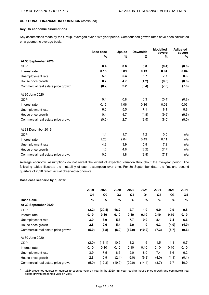# **Key UK economic assumptions**

Key assumptions made by the Group, averaged over a five-year period. Compounded growth rates have been calculated on a geometric average basis.

|                                     | <b>Base case</b> | <b>Upside</b> |       | <b>Modelled</b><br>severe | <b>Adjusted</b><br>severe |  |
|-------------------------------------|------------------|---------------|-------|---------------------------|---------------------------|--|
|                                     | %                | %             | %     | %                         | $\%$                      |  |
| At 30 September 2020                |                  |               |       |                           |                           |  |
| <b>GDP</b>                          | 0.4              | 0.6           | 0.0   | (0.4)                     | (0.8)                     |  |
| Interest rate                       | 0.15             | 0.89          | 0.13  | 0.04                      | 0.04                      |  |
| Unemployment rate                   | 5.8              | 5.4           | 6.7   | 7.7                       | 8.3                       |  |
| House price growth                  | 0.7              | 4.7           | (4.2) | (8.8)                     | (8.8)                     |  |
| Commercial real estate price growth | (0.7)            | 2.2           | (3.4) | (7.8)                     | (7.8)                     |  |
| At 30 June 2020                     |                  |               |       |                           |                           |  |
| <b>GDP</b>                          | 0.4              | 0.8           | 0.3   | (0.4)                     | (0.8)                     |  |
| Interest rate                       | 0.15             | 1.06          | 0.16  | 0.03                      | 0.03                      |  |
| Unemployment rate                   | 6.0              | 5.5           | 7.1   | 8.1                       | 8.8                       |  |
| House price growth                  | 0.4              | 4.7           | (4.8) | (9.6)                     | (9.6)                     |  |
| Commercial real estate price growth | (0.6)            | 2.7           | (3.5) | (8.0)                     | (8.0)                     |  |
| At 31 December 2019                 |                  |               |       |                           |                           |  |
| <b>GDP</b>                          | 1.4              | 1.7           | 1.2   | 0.5                       | n/a                       |  |
| Interest rate                       | 1.25             | 2.04          | 0.49  | 0.11                      | n/a                       |  |
| Unemployment rate                   | 4.3              | 3.9           | 5.8   | 7.2                       | n/a                       |  |
| House price growth                  | 1.0              | 4.8           | (3.2) | (7.7)                     | n/a                       |  |
| Commercial real estate price growth | 0.0              | 1.8           | (3.8) | (7.1)                     | n/a                       |  |

Average economic assumptions do not reveal the extent of expected variation throughout the five-year period. The following tables illustrate the mutability of each assumption over time. For 30 September data, the first and second quarters of 2020 reflect actual observed economics.

# **Base case scenario by quarter<sup>1</sup>**

|                                     | 2020  | 2020   | 2020           | 2020   | 2021   | 2021  | 2021           | 2021  |
|-------------------------------------|-------|--------|----------------|--------|--------|-------|----------------|-------|
|                                     | Q1    | Q2     | Q <sub>3</sub> | Q4     | Q1     | Q2    | Q <sub>3</sub> | Q4    |
| <b>Base Case</b>                    | $\%$  | %      | $\%$           | %      | %      | %     | %              | %     |
| At 30 September 2020                |       |        |                |        |        |       |                |       |
| <b>GDP</b>                          | (2.2) | (20.4) | 16.2           | 2.7    | 1.0    | 0.9   | 0.9            | 0.8   |
| Interest rate                       | 0.10  | 0.10   | 0.10           | 0.10   | 0.10   | 0.10  | 0.10           | 0.10  |
| Unemployment rate                   | 3.9   | 3.9    | 5.3            | 7.7    | 9.0    | 8.1   | 7.4            | 6.6   |
| House price growth                  | 2.8   | 2.6    | 5.4            | 2.0    | 1.0    | 0.3   | (4.0)          | (4.0) |
| Commercial real estate price growth | (5.0) | (7.8)  | (8.9)          | (12.0) | (10.2) | (7.3) | (5.7)          | (0.6) |
| At 30 June 2020                     |       |        |                |        |        |       |                |       |
| <b>GDP</b>                          | (2.0) | (18.1) | 10.9           | 3.2    | 1.6    | 1.5   | 1.1            | 0.7   |
| Interest rate                       | 0.10  | 0.10   | 0.10           | 0.10   | 0.10   | 0.10  | 0.10           | 0.10  |
| Unemployment rate                   | 3.9   | 7.5    | 8.5            | 9.0    | 8.0    | 7.4   | 6.6            | 6.2   |
| House price growth                  | 2.8   | 0.9    | (2.4)          | (6.0)  | (6.3)  | (4.0) | (1.1)          | (0.1) |
| Commercial real estate price growth | (5.0) | (12.3) | (19.9)         | (20.0) | (14.4) | (3.7) | 7.7            | 10.0  |

<sup>1</sup> GDP presented quarter on quarter (presented year on year in the 2020 half-year results), house price growth and commercial real estate growth presented year on year.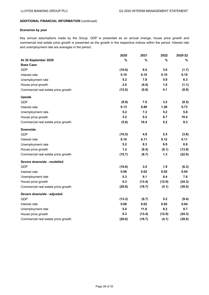# **Scenarios by year**

Key annual assumptions made by the Group. GDP is presented as an annual change, house price growth and commercial real estate price growth is presented as the growth in the respective indices within the period. Interest rate and unemployment rate are averages in the period.

|                                     | 2020   | 2021   | 2022   | 2020-22 |
|-------------------------------------|--------|--------|--------|---------|
| At 30 September 2020                | %      | %      | %      | %       |
| <b>Base Case</b>                    |        |        |        |         |
| GDP                                 | (10.0) | 6.0    | 3.0    | (1.7)   |
| Interest rate                       | 0.10   | 0.10   | 0.10   | 0.10    |
| Unemployment rate                   | 5.2    | 7.8    | 5.9    | 6.3     |
| House price growth                  | 2.0    | (4.0)  | 1.0    | (1.1)   |
| Commercial real estate price growth | (12.0) | (0.6)  | 4.1    | (8.9)   |
| <b>Upside</b>                       |        |        |        |         |
| GDP                                 | (9.9)  | 7.0    | 3.2    | (0.5)   |
| Interest rate                       | 0.13   | 0.80   | 1.26   | 0.73    |
| Unemployment rate                   | 5.2    | 7.2    | 5.2    | 5.8     |
| House price growth                  | 3.2    | 0.2    | 6.7    | 10.4    |
| Commercial real estate price growth | (5.8)  | 10.4   | 5.2    | 9.3     |
| <b>Downside</b>                     |        |        |        |         |
| <b>GDP</b>                          | (10.5) | 4.8    | 2.5    | (3.8)   |
| Interest rate                       | 0.10   | 0.11   | 0.12   | 0.11    |
| Unemployment rate                   | 5.2    | 8.3    | 6.9    | 6.8     |
| House price growth                  | $1.2$  | (9.4)  | (6.1)  | (13.9)  |
| Commercial real estate price growth | (15.7) | (8.7)  | 1.3    | (22.0)  |
| Severe downside - modelled          |        |        |        |         |
| GDP                                 | (10.8) | 3.0    | 1.9    | (6.3)   |
| Interest rate                       | 0.08   | 0.02   | 0.02   | 0.04    |
| Unemployment rate                   | 5.3    | 9.1    | 8.4    | 7.6     |
| House price growth                  | 0.3    | (13.4) | (12.9) | (24.3)  |
| Commercial real estate price growth | (20.8) | (19.7) | (4.1)  | (39.0)  |
| Severe downside - adjusted          |        |        |        |         |
| <b>GDP</b>                          | (13.3) | (0.7)  | 5.2    | (9.4)   |
| Interest rate                       | 0.08   | 0.02   | 0.02   | 0.04    |
| Unemployment rate                   | 5.4    | 11.6   | 9.2    | 8.7     |
| House price growth                  | 0.3    | (13.4) | (12.9) | (24.3)  |
| Commercial real estate price growth | (20.8) | (19.7) | (4.1)  | (39.0)  |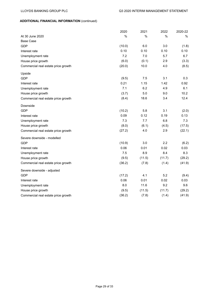|                                     | 2020   | 2021   | 2022   | 2020-22 |
|-------------------------------------|--------|--------|--------|---------|
| At 30 June 2020                     | $\%$   | %      | %      | %       |
| <b>Base Case</b>                    |        |        |        |         |
| GDP                                 | (10.0) | 6.0    | 3.0    | (1.8)   |
| Interest rate                       | 0.10   | 0.10   | 0.10   | 0.10    |
| Unemployment rate                   | 7.2    | 7.0    | 5.7    | 6.7     |
| House price growth                  | (6.0)  | (0.1)  | 2.9    | (3.3)   |
| Commercial real estate price growth | (20.0) | 10.0   | 4.0    | (8.5)   |
| Upside                              |        |        |        |         |
| <b>GDP</b>                          | (9.5)  | 7.5    | 3.1    | 0.3     |
| Interest rate                       | 0.21   | 1.15   | 1.42   | 0.92    |
| Unemployment rate                   | 7.1    | 6.2    | 4.9    | 6.1     |
| House price growth                  | (3.7)  | 5.0    | 9.0    | 10.2    |
| Commercial real estate price growth | (8.4)  | 18.6   | 3.4    | 12.4    |
| Downside                            |        |        |        |         |
| <b>GDP</b>                          | (10.2) | 5.8    | 3.1    | (2.0)   |
| Interest rate                       | 0.09   | 0.12   | 0.19   | 0.13    |
| Unemployment rate                   | 7.3    | 7.7    | 6.8    | 7.3     |
| House price growth                  | (8.0)  | (6.1)  | (4.5)  | (17.5)  |
| Commercial real estate price growth | (27.2) | 4.0    | 2.9    | (22.1)  |
| Severe downside - modelled          |        |        |        |         |
| <b>GDP</b>                          | (10.9) | 3.0    | 2.2    | (6.2)   |
| Interest rate                       | 0.06   | 0.01   | 0.02   | 0.03    |
| Unemployment rate                   | 7.5    | 8.9    | 8.4    | 8.3     |
| House price growth                  | (9.5)  | (11.5) | (11.7) | (29.2)  |
| Commercial real estate price growth | (36.2) | (7.8)  | (1.4)  | (41.9)  |
| Severe downside - adjusted          |        |        |        |         |
| <b>GDP</b>                          | (17.2) | 4.1    | 5.2    | (9.4)   |
| Interest rate                       | 0.06   | 0.01   | 0.02   | 0.03    |
| Unemployment rate                   | 8.0    | 11.6   | 9.2    | 9.6     |
| House price growth                  | (9.5)  | (11.5) | (11.7) | (29.2)  |
| Commercial real estate price growth | (36.2) | (7.8)  | (1.4)  | (41.9)  |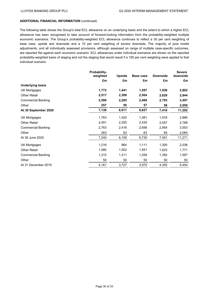The following table shows the Group's total ECL allowance on an underlying basis and the extent to which a higher ECL allowance has been recognised to take account of forward-looking information from the probability-weighted multiple economic scenarios. The Group's probability-weighted ECL allowance continues to reflect a 30 per cent weighting of base case, upside and downside and a 10 per cent weighting of severe downside. The majority of post model adjustments, and all individually assessed provisions, although assessed on range of multiple case-specific outcomes, are reported flat against each economic scenario. ECL allowances under individual scenarios are shown on the reported probability-weighted basis of staging and not the staging that would result if a 100 per cent weighting were applied to that individual scenario.

| Probability- |                |                     |                 | <b>Severe</b>         |
|--------------|----------------|---------------------|-----------------|-----------------------|
|              |                |                     |                 | downside              |
|              |                |                     |                 | £m                    |
|              |                |                     |                 |                       |
| 1,772        | 1,441          | 1,597               | 1,936           | 2,802                 |
| 2,517        | 2,309          | 2,504               | 2,629           | 2,844                 |
| 2,590        | 2,205          | 2,469               | 2,793           | 3,497                 |
| 257          | 56             | 57                  | 58              | 2,059                 |
| 7,136        | 6,011          | 6,627               | 7,416           | 11,202                |
| 1,763        | 1,425          | 1,581               | 1,916           | 2,866                 |
| 2,451        | 2,255          | 2,430               | 2,557           | 2,788                 |
| 2,763        | 2,416          | 2,656               | 2,954           | 3,553                 |
| 263          | 63             | 63                  | 64              | 2,064                 |
| 7,240        | 6,159          | 6,730               | 7,491           | 11,271                |
| 1,216        | 964            | 1,111               | 1,300           | 2,036                 |
| 1,580        | 1,502          | 1,551               | 1,623           | 1,771                 |
| 1,315        | 1,211          | 1,258               | 1,382           | 1,597                 |
| 50           | 50             | 50                  | 50              | 50                    |
| 4,161        | 3,727          | 3,970               | 4,355           | 5,454                 |
|              | weighted<br>£m | <b>Upside</b><br>£m | Base case<br>£m | <b>Downside</b><br>£m |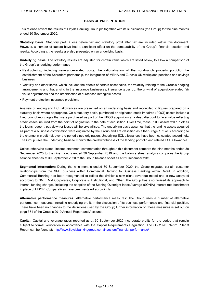## **BASIS OF PRESENTATION**

This release covers the results of Lloyds Banking Group plc together with its subsidiaries (the Group) for the nine months ended 30 September 2020.

**Statutory basis:** Statutory profit / loss before tax and statutory profit after tax are included within this document. However, a number of factors have had a significant effect on the comparability of the Group's financial position and results. Accordingly, the results are also presented on an underlying basis.

**Underlying basis:** The statutory results are adjusted for certain items which are listed below, to allow a comparison of the Group's underlying performance

- Restructuring, including severance-related costs, the rationalisation of the non-branch property portfolio, the establishment of the Schroders partnership, the integration of MBNA and Zurich's UK workplace pensions and savings business
- Volatility and other items, which includes the effects of certain asset sales, the volatility relating to the Group's hedging arrangements and that arising in the insurance businesses, insurance gross up, the unwind of acquisition-related fair value adjustments and the amortisation of purchased intangible assets
- Payment protection insurance provisions

Analysis of lending and ECL allowances are presented on an underlying basis and reconciled to figures prepared on a statutory basis where appropriate. On a statutory basis, purchased or originated credit-impaired (POCI) assets include a fixed pool of mortgages that were purchased as part of the HBOS acquisition at a deep discount to face value reflecting credit losses incurred from the point of origination to the date of acquisition. Over time, these POCI assets will run off as the loans redeem, pay down or losses will be crystallised. The underlying basis assumes that the lending assets acquired as part of a business combination were originated by the Group and are classified as either Stage 1, 2 or 3 according to the change in credit risk over the period since origination. Underlying ECL allowances have been calculated accordingly. The Group uses the underlying basis to monitor the creditworthiness of the lending portfolio and related ECL allowances

Unless otherwise stated, income statement commentaries throughout this document compare the nine months ended 30 September 2020 to the nine months ended 30 September 2019 and the balance sheet analysis compares the Group balance sheet as at 30 September 2020 to the Group balance sheet as at 31 December 2019.

**Segmental information:** During the nine months ended 30 September 2020, the Group migrated certain customer relationships from the SME business within Commercial Banking to Business Banking within Retail. In addition, Commercial Banking has been resegmented to reflect the division's new client coverage model and is now analysed according to SME, Mid Corporates, Corporate & Institutional, and Other. The Group has also revised its approach to internal funding charges, including the adoption of the Sterling Overnight Index Average (SONIA) interest rate benchmark in place of LIBOR. Comparatives have been restated accordingly.

**Alternative performance measures:** Alternative performance measures: The Group uses a number of alternative performance measures, including underlying profit, in the discussion of its business performance and financial position. There have been no changes to the definitions used by the Group; further information on these measures is set out on page 331 of the Group's 2019 Annual Report and Accounts.

**Capital:** Capital and leverage ratios reported as at 30 September 2020 incorporate profits for the period that remain subject to formal verification in accordance with the Capital Requirements Regulation. The Q3 2020 Interim Pillar 3 Report can be found at:<http://www.lloydsbankinggroup.com/investors/financial-performance/>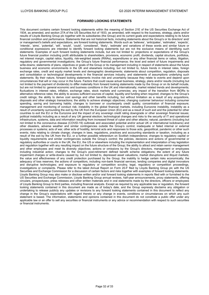#### **FORWARD LOOKING STATEMENTS**

This document contains certain forward looking statements within the meaning of Section 21E of the US Securities Exchange Act of 1934, as amended, and section 27A of the US Securities Act of 1933, as amended, with respect to the business, strategy, plans and/or results of Lloyds Banking Group plc together with its subsidiaries (the Group) and its current goals and expectations relating to its future financial condition and performance. Statements that are not historical facts, including statements about the Group's or its directors' and/ or management's beliefs and expectations, are forward looking statements. Words such as 'believes', 'anticipates', 'estimates', 'expects', 'intends', 'aims', 'potential', 'will', 'would', 'could', 'considered', 'likely', 'estimate' and variations of these words and similar future or conditional expressions are intended to identify forward looking statements but are not the exclusive means of identifying such statements. Examples of such forward looking statements include, but are not limited to: projections or expectations of the Group's future financial position including profit attributable to shareholders, provisions, economic profit, dividends, capital structure, portfolios, net interest margin, capital ratios, liquidity, risk-weighted assets (RWAs), expenditures or any other financial items or ratios; litigation, regulatory and governmental investigations; the Group's future financial performance; the level and extent of future impairments and write-downs; statements of plans, objectives or goals of the Group or its management including in respect of statements about the future business and economic environments in the UK and elsewhere including, but not limited to, future trends in interest rates, foreign exchange rates, credit and equity market levels and demographic developments; statements about competition, regulation, disposals and consolidation or technological developments in the financial services industry; and statements of assumptions underlying such statements. By their nature, forward looking statements involve risk and uncertainty because they relate to events and depend upon circumstances that will or may occur in the future. Factors that could cause actual business, strategy, plans and/or results (including but not limited to the payment of dividends) to differ materially from forward looking statements made by the Group or on its behalf include, but are not limited to: general economic and business conditions in the UK and internationally; market related trends and developments; fluctuations in interest rates, inflation, exchange rates, stock markets and currencies; any impact of the transition from IBORs to alternative reference rates; the ability to access sufficient sources of capital, liquidity and funding when required; changes to the Group's credit ratings; the ability to derive cost savings and other benefits including, but without limitation as a result of any acquisitions, disposals and other strategic transactions; the ability to achieve strategic objectives; changing customer behaviour including consumer spending, saving and borrowing habits; changes to borrower or counterparty credit quality; concentration of financial exposure; management and monitoring of conduct risk; instability in the global financial markets, including Eurozone instability, instability as a result of uncertainty surrounding the exit by the UK from the European Union (EU) and as a result of such exit and the potential for other countries to exit the EU or the Eurozone and the impact of any sovereign credit rating downgrade or other sovereign financial issues; political instability including as a result of any UK general election; technological changes and risks to the security of IT and operational infrastructure, systems, data and information resulting from increased threat of cyber and other attacks; natural, pandemic (including but not limited to the coronavirus disease (COVID-19) outbreak and associated potential and/or actual UK or international lockdowns) and other disasters, adverse weather and similar contingencies outside the Group's control; inadequate or failed internal or external processes or systems; acts of war, other acts of hostility, terrorist acts and responses to those acts, geopolitical, pandemic or other such events; risks relating to climate change; changes in laws, regulations, practices and accounting standards or taxation, including as a result of the exit by the UK from the EU, or a further possible referendum on Scottish independence; changes to regulatory capital or liquidity requirements and similar contingencies outside the Group's control; the policies, decisions and actions of governmental or regulatory authorities or courts in the UK, the EU, the US or elsewhere including the implementation and interpretation of key legislation and regulation together with any resulting impact on the future structure of the Group; the ability to attract and retain senior management and other employees and meet its diversity objectives; actions or omissions by the Group's directors, management or employees including industrial action; changes to the Group's post-retirement defined benefit scheme obligations; the extent of any future impairment charges or write-downs caused by, but not limited to, depressed asset valuations, market disruptions and illiquid markets; the value and effectiveness of any credit protection purchased by the Group; the inability to hedge certain risks economically; the adequacy of loss reserves; the actions of competitors, including non-bank financial services, lending companies and digital innovators and disruptive technologies; and exposure to regulatory or competition scrutiny, legal, regulatory or competition proceedings, investigations or complaints. Please refer to the latest Annual Report on Form 20-F filed by Lloyds Banking Group plc with the US Securities and Exchange Commission for a discussion of certain factors and risks together with examples of forward looking statements. Lloyds Banking Group may also make or disclose written and/or oral forward looking statements in reports filed with or furnished to the US Securities and Exchange Commission, Lloyds Banking Group annual reviews, half-year announcements, proxy statements, offering circulars, prospectuses, press releases and other written materials and in oral statements made by the directors, officers or employees of Lloyds Banking Group to third parties, including financial analysts. Except as required by any applicable law or regulation, the forward looking statements contained in this document are made as of today's date, and the Group expressly disclaims any obligation or undertaking to release publicly any updates or revisions to any forward looking statements contained in this document to reflect any change in the Group's expectations with regard thereto or any change in events, conditions or circumstances on which any such statement is based. The information, statements and opinions contained in this document do not constitute a public offer under any applicable law or an offer to sell any securities or financial instruments or any advice or recommendation with respect to such securities or financial instruments.